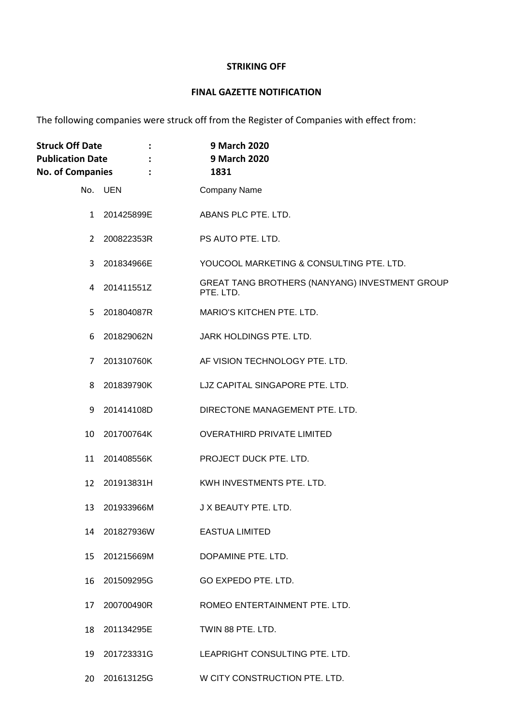## **STRIKING OFF**

## **FINAL GAZETTE NOTIFICATION**

The following companies were struck off from the Register of Companies with effect from:

| <b>Struck Off Date</b><br>$\ddot{\phantom{a}}$<br><b>Publication Date</b><br><b>No. of Companies</b> |               | 9 March 2020<br>9 March 2020<br>1831                        |
|------------------------------------------------------------------------------------------------------|---------------|-------------------------------------------------------------|
|                                                                                                      | No. UEN       | <b>Company Name</b>                                         |
| $\mathbf{1}$                                                                                         | 201425899E    | ABANS PLC PTE. LTD.                                         |
|                                                                                                      | 2 200822353R  | PS AUTO PTE. LTD.                                           |
| 3                                                                                                    | 201834966E    | YOUCOOL MARKETING & CONSULTING PTE. LTD.                    |
|                                                                                                      | 4 201411551Z  | GREAT TANG BROTHERS (NANYANG) INVESTMENT GROUP<br>PTE. LTD. |
|                                                                                                      | 5 201804087R  | MARIO'S KITCHEN PTE. LTD.                                   |
| 6                                                                                                    | 201829062N    | JARK HOLDINGS PTE. LTD.                                     |
| 7                                                                                                    | 201310760K    | AF VISION TECHNOLOGY PTE. LTD.                              |
| 8                                                                                                    | 201839790K    | LJZ CAPITAL SINGAPORE PTE. LTD.                             |
|                                                                                                      | 9 201414108D  | DIRECTONE MANAGEMENT PTE. LTD.                              |
|                                                                                                      | 10 201700764K | <b>OVERATHIRD PRIVATE LIMITED</b>                           |
| 11                                                                                                   | 201408556K    | PROJECT DUCK PTE. LTD.                                      |
| 12                                                                                                   | 201913831H    | KWH INVESTMENTS PTE. LTD.                                   |
| 13                                                                                                   | 201933966M    | J X BEAUTY PTE, LTD.                                        |
|                                                                                                      | 14 201827936W | <b>EASTUA LIMITED</b>                                       |
| 15                                                                                                   | 201215669M    | DOPAMINE PTE. LTD.                                          |
| 16                                                                                                   | 201509295G    | GO EXPEDO PTE. LTD.                                         |
|                                                                                                      | 17 200700490R | ROMEO ENTERTAINMENT PTE. LTD.                               |
| 18                                                                                                   | 201134295E    | TWIN 88 PTE. LTD.                                           |
| 19                                                                                                   | 201723331G    | LEAPRIGHT CONSULTING PTE. LTD.                              |
|                                                                                                      | 20 201613125G | W CITY CONSTRUCTION PTE. LTD.                               |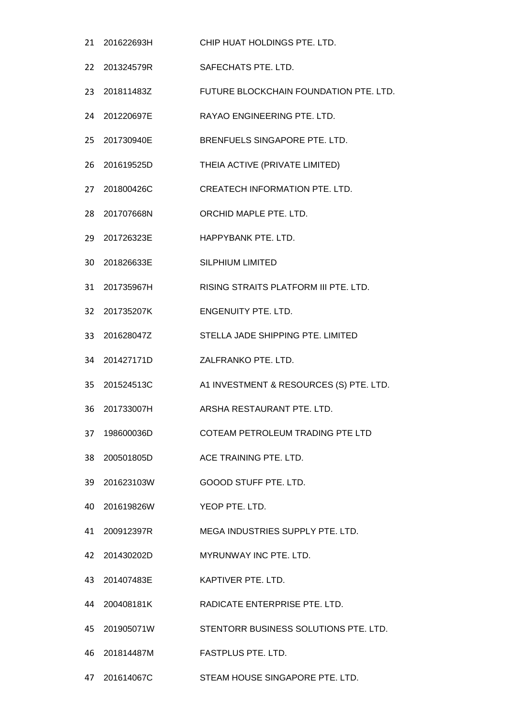- 201622693H CHIP HUAT HOLDINGS PTE. LTD. 201324579R SAFECHATS PTE. LTD. 201811483Z FUTURE BLOCKCHAIN FOUNDATION PTE. LTD. 201220697E RAYAO ENGINEERING PTE. LTD. 201730940E BRENFUELS SINGAPORE PTE. LTD. 201619525D THEIA ACTIVE (PRIVATE LIMITED) 201800426C CREATECH INFORMATION PTE. LTD. 201707668N ORCHID MAPLE PTE. LTD. 201726323E HAPPYBANK PTE. LTD. 201826633E SILPHIUM LIMITED 201735967H RISING STRAITS PLATFORM III PTE. LTD. 201735207K ENGENUITY PTE. LTD. 201628047Z STELLA JADE SHIPPING PTE. LIMITED 201427171D ZALFRANKO PTE. LTD. 201524513C A1 INVESTMENT & RESOURCES (S) PTE. LTD. 201733007H ARSHA RESTAURANT PTE. LTD. 198600036D COTEAM PETROLEUM TRADING PTE LTD 200501805D ACE TRAINING PTE. LTD. 201623103W GOOOD STUFF PTE. LTD. 201619826W YEOP PTE. LTD. 200912397R MEGA INDUSTRIES SUPPLY PTE. LTD. 201430202D MYRUNWAY INC PTE. LTD. 201407483E KAPTIVER PTE. LTD. 200408181K RADICATE ENTERPRISE PTE. LTD. 201905071W STENTORR BUSINESS SOLUTIONS PTE. LTD. 201814487M FASTPLUS PTE. LTD.
- 201614067C STEAM HOUSE SINGAPORE PTE. LTD.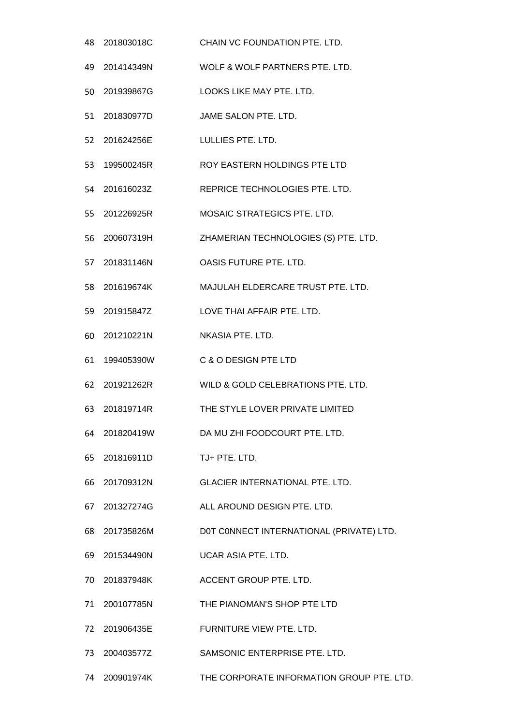| 48 | 201803018C    | CHAIN VC FOUNDATION PTE. LTD.            |
|----|---------------|------------------------------------------|
|    | 49 201414349N | WOLF & WOLF PARTNERS PTE. LTD.           |
| 50 | 201939867G    | LOOKS LIKE MAY PTE. LTD.                 |
|    | 51 201830977D | JAME SALON PTE. LTD.                     |
| 52 | 201624256E    | LULLIES PTE, LTD.                        |
| 53 | 199500245R    | ROY EASTERN HOLDINGS PTE LTD             |
|    | 54 201616023Z | REPRICE TECHNOLOGIES PTE. LTD.           |
| 55 | 201226925R    | MOSAIC STRATEGICS PTE. LTD.              |
| 56 | 200607319H    | ZHAMERIAN TECHNOLOGIES (S) PTE. LTD.     |
|    | 57 201831146N | <b>OASIS FUTURE PTE. LTD.</b>            |
| 58 | 201619674K    | MAJULAH ELDERCARE TRUST PTE. LTD.        |
|    | 59 201915847Z | LOVE THAI AFFAIR PTE. LTD.               |
| 60 | 201210221N    | NKASIA PTE. LTD.                         |
| 61 | 199405390W    | C & O DESIGN PTE LTD                     |
|    | 62 201921262R | WILD & GOLD CELEBRATIONS PTE. LTD.       |
| 63 | 201819714R    | THE STYLE LOVER PRIVATE LIMITED          |
|    | 64 201820419W | DA MU ZHI FOODCOURT PTE. LTD.            |
|    | 65 201816911D | TJ+ PTE. LTD.                            |
|    | 66 201709312N | GLACIER INTERNATIONAL PTE. LTD.          |
|    | 67 201327274G | ALL AROUND DESIGN PTE. LTD.              |
|    | 68 201735826M | DOT CONNECT INTERNATIONAL (PRIVATE) LTD. |
|    | 69 201534490N | UCAR ASIA PTE. LTD.                      |
|    | 70 201837948K | ACCENT GROUP PTE. LTD.                   |
|    | 71 200107785N | THE PIANOMAN'S SHOP PTE LTD              |
|    | 72 201906435E | FURNITURE VIEW PTE. LTD.                 |
| 73 | 200403577Z    | SAMSONIC ENTERPRISE PTE. LTD.            |
|    |               |                                          |

200901974K THE CORPORATE INFORMATION GROUP PTE. LTD.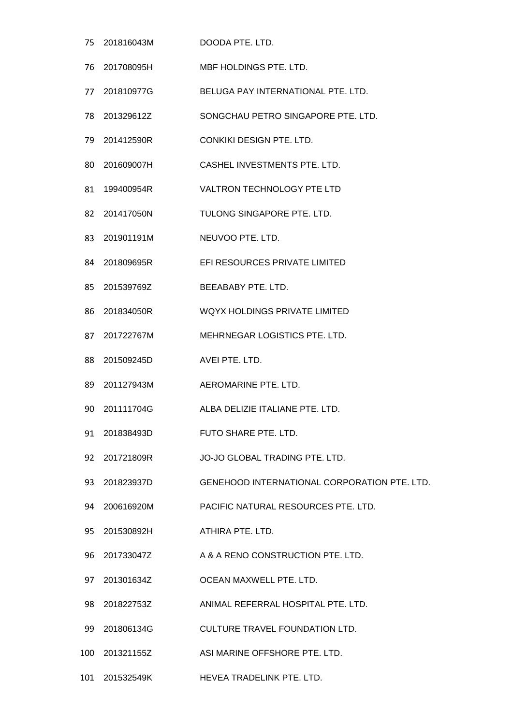201816043M DOODA PTE. LTD. 201708095H MBF HOLDINGS PTE. LTD. 201810977G BELUGA PAY INTERNATIONAL PTE. LTD. 201329612Z SONGCHAU PETRO SINGAPORE PTE. LTD. 201412590R CONKIKI DESIGN PTE. LTD. 201609007H CASHEL INVESTMENTS PTE. LTD. 199400954R VALTRON TECHNOLOGY PTE LTD 201417050N TULONG SINGAPORE PTE. LTD. 201901191M NEUVOO PTE. LTD. 201809695R EFI RESOURCES PRIVATE LIMITED 201539769Z BEEABABY PTE. LTD. 201834050R WQYX HOLDINGS PRIVATE LIMITED 201722767M MEHRNEGAR LOGISTICS PTE. LTD. 201509245D AVEI PTE. LTD. 201127943M AEROMARINE PTE. LTD. 201111704G ALBA DELIZIE ITALIANE PTE. LTD. 201838493D FUTO SHARE PTE. LTD. 201721809R JO-JO GLOBAL TRADING PTE. LTD. 201823937D GENEHOOD INTERNATIONAL CORPORATION PTE. LTD. 200616920M PACIFIC NATURAL RESOURCES PTE. LTD. 201530892H ATHIRA PTE. LTD. 201733047Z A & A RENO CONSTRUCTION PTE. LTD. 201301634Z OCEAN MAXWELL PTE. LTD. 201822753Z ANIMAL REFERRAL HOSPITAL PTE. LTD. 201806134G CULTURE TRAVEL FOUNDATION LTD. 201321155Z ASI MARINE OFFSHORE PTE. LTD.

201532549K HEVEA TRADELINK PTE. LTD.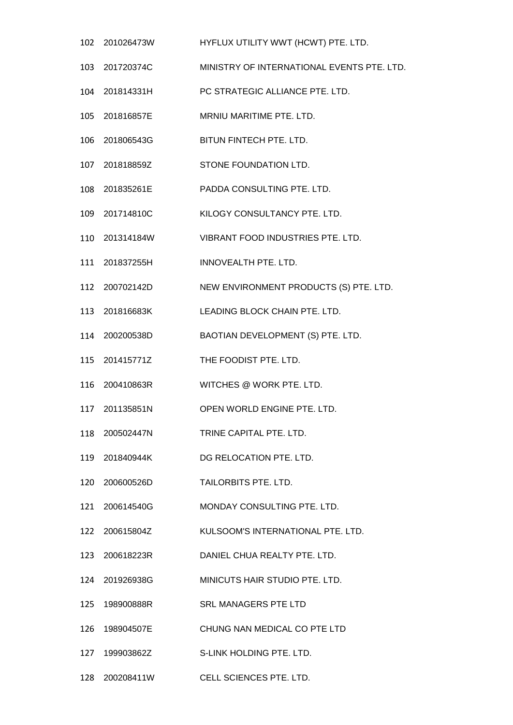- 201026473W HYFLUX UTILITY WWT (HCWT) PTE. LTD.
- 201720374C MINISTRY OF INTERNATIONAL EVENTS PTE. LTD.
- 201814331H PC STRATEGIC ALLIANCE PTE. LTD.
- 201816857E MRNIU MARITIME PTE. LTD.
- 201806543G BITUN FINTECH PTE. LTD.
- 201818859Z STONE FOUNDATION LTD.
- 201835261E PADDA CONSULTING PTE. LTD.
- 201714810C KILOGY CONSULTANCY PTE. LTD.
- 201314184W VIBRANT FOOD INDUSTRIES PTE. LTD.
- 201837255H INNOVEALTH PTE. LTD.
- 200702142D NEW ENVIRONMENT PRODUCTS (S) PTE. LTD.
- 201816683K LEADING BLOCK CHAIN PTE. LTD.
- 200200538D BAOTIAN DEVELOPMENT (S) PTE. LTD.
- 201415771Z THE FOODIST PTE. LTD.
- 200410863R WITCHES @ WORK PTE. LTD.
- 201135851N OPEN WORLD ENGINE PTE. LTD.
- 200502447N TRINE CAPITAL PTE. LTD.
- 201840944K DG RELOCATION PTE. LTD.
- 200600526D TAILORBITS PTE. LTD.
- 200614540G MONDAY CONSULTING PTE. LTD.
- 200615804Z KULSOOM'S INTERNATIONAL PTE. LTD.
- 200618223R DANIEL CHUA REALTY PTE. LTD.
- 201926938G MINICUTS HAIR STUDIO PTE. LTD.
- 198900888R SRL MANAGERS PTE LTD
- 198904507E CHUNG NAN MEDICAL CO PTE LTD
- 199903862Z S-LINK HOLDING PTE. LTD.
- 200208411W CELL SCIENCES PTE. LTD.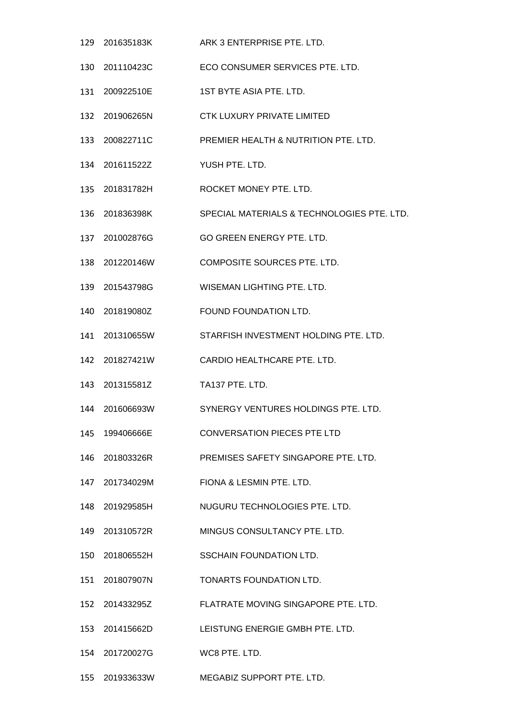- 201635183K ARK 3 ENTERPRISE PTE. LTD.
- 201110423C ECO CONSUMER SERVICES PTE. LTD.
- 200922510E 1ST BYTE ASIA PTE. LTD.
- 201906265N CTK LUXURY PRIVATE LIMITED
- 200822711C PREMIER HEALTH & NUTRITION PTE. LTD.
- 201611522Z YUSH PTE. LTD.
- 201831782H ROCKET MONEY PTE. LTD.
- 201836398K SPECIAL MATERIALS & TECHNOLOGIES PTE. LTD.
- 201002876G GO GREEN ENERGY PTE. LTD.
- 201220146W COMPOSITE SOURCES PTE. LTD.
- 201543798G WISEMAN LIGHTING PTE. LTD.
- 201819080Z FOUND FOUNDATION LTD.
- 201310655W STARFISH INVESTMENT HOLDING PTE. LTD.
- 201827421W CARDIO HEALTHCARE PTE. LTD.
- 201315581Z TA137 PTE. LTD.
- 201606693W SYNERGY VENTURES HOLDINGS PTE. LTD.
- 199406666E CONVERSATION PIECES PTE LTD
- 201803326R PREMISES SAFETY SINGAPORE PTE. LTD.
- 201734029M FIONA & LESMIN PTE. LTD.
- 201929585H NUGURU TECHNOLOGIES PTE. LTD.
- 201310572R MINGUS CONSULTANCY PTE. LTD.
- 201806552H SSCHAIN FOUNDATION LTD.
- 201807907N TONARTS FOUNDATION LTD.
- 201433295Z FLATRATE MOVING SINGAPORE PTE. LTD.
- 201415662D LEISTUNG ENERGIE GMBH PTE. LTD.
- 201720027G WC8 PTE. LTD.
- 201933633W MEGABIZ SUPPORT PTE. LTD.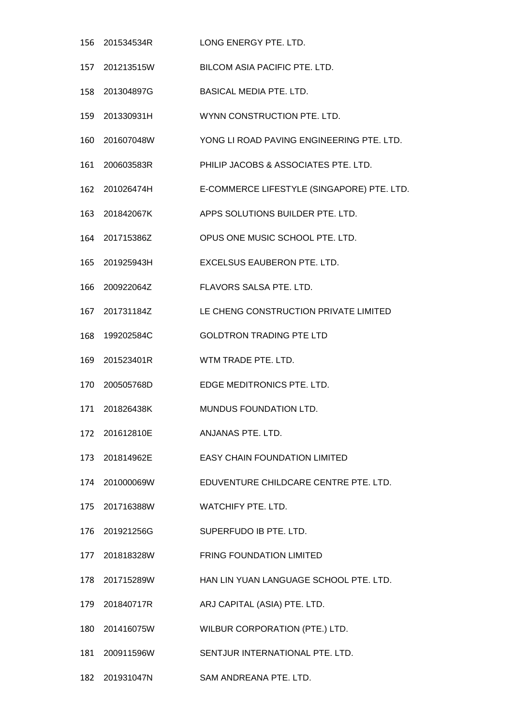- 201534534R LONG ENERGY PTE. LTD. 201213515W BILCOM ASIA PACIFIC PTE. LTD. 201304897G BASICAL MEDIA PTE. LTD. 201330931H WYNN CONSTRUCTION PTE. LTD. 201607048W YONG LI ROAD PAVING ENGINEERING PTE. LTD. 200603583R PHILIP JACOBS & ASSOCIATES PTE. LTD. 201026474H E-COMMERCE LIFESTYLE (SINGAPORE) PTE. LTD. 201842067K APPS SOLUTIONS BUILDER PTE. LTD. 201715386Z OPUS ONE MUSIC SCHOOL PTE. LTD. 201925943H EXCELSUS EAUBERON PTE. LTD. 200922064Z FLAVORS SALSA PTE. LTD. 201731184Z LE CHENG CONSTRUCTION PRIVATE LIMITED 199202584C GOLDTRON TRADING PTE LTD 201523401R WTM TRADE PTE. LTD. 200505768D EDGE MEDITRONICS PTE. LTD. 201826438K MUNDUS FOUNDATION LTD. 201612810E ANJANAS PTE. LTD. 201814962E EASY CHAIN FOUNDATION LIMITED 201000069W EDUVENTURE CHILDCARE CENTRE PTE. LTD. 201716388W WATCHIFY PTE. LTD. 201921256G SUPERFUDO IB PTE. LTD. 201818328W FRING FOUNDATION LIMITED 201715289W HAN LIN YUAN LANGUAGE SCHOOL PTE. LTD. 201840717R ARJ CAPITAL (ASIA) PTE. LTD. 201416075W WILBUR CORPORATION (PTE.) LTD. 200911596W SENTJUR INTERNATIONAL PTE. LTD.
- 201931047N SAM ANDREANA PTE. LTD.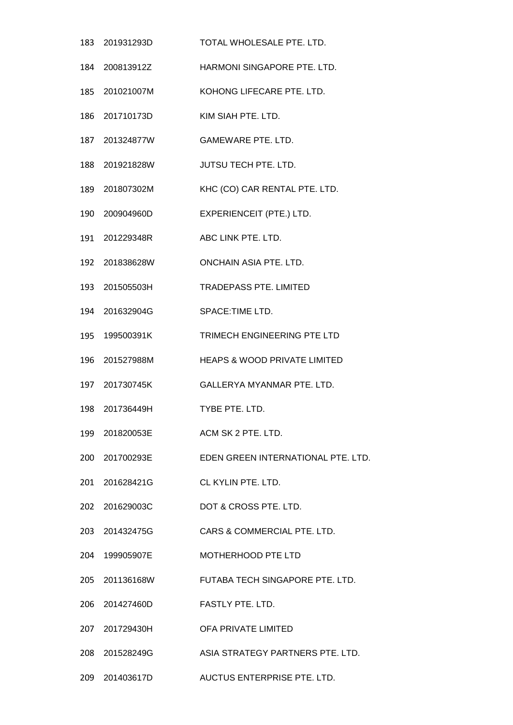| 183 201931293D    | TOTAL WHOLESALE PTE, LTD.                      |
|-------------------|------------------------------------------------|
| 184    200813912Z | HARMONI SINGAPORE PTE. LTD.                    |
| 185 201021007M    | KOHONG LIFECARE PTE. LTD.                      |
| 186 201710173D    | KIM SIAH PTE. LTD.                             |
| 187 201324877W    | <b>GAMEWARE PTE. LTD.</b>                      |
| 188 201921828W    | JUTSU TECH PTE. LTD.                           |
| 189 201807302M    | KHC (CO) CAR RENTAL PTE. LTD.                  |
|                   | EXPERIENCEIT (PTE.) LTD.                       |
| 191 201229348R    | ABC LINK PTE. LTD.                             |
| 192 201838628W    | <b>ONCHAIN ASIA PTE. LTD.</b>                  |
| 193 201505503H    | <b>TRADEPASS PTE. LIMITED</b>                  |
| 194 201632904G    | SPACE:TIME LTD.                                |
| 195 199500391K    | TRIMECH ENGINEERING PTE LTD                    |
| 196 201527988M    | HEAPS & WOOD PRIVATE LIMITED                   |
| 197 201730745K    | <b>GALLERYA MYANMAR PTE, LTD.</b>              |
| 198 201736449H    | TYBE PTE. LTD.                                 |
| 199 201820053E    | ACM SK 2 PTE. LTD.                             |
| 200 201700293E    | EDEN GREEN INTERNATIONAL PTE. LTD.             |
| 201 201628421G    | CL KYLIN PTE. LTD.                             |
| 202 201629003C    | DOT & CROSS PTE. LTD.                          |
| 203 201432475G    | CARS & COMMERCIAL PTE. LTD.                    |
| 204 199905907E    | <b>MOTHERHOOD PTE LTD</b>                      |
|                   | 205 201136168W FUTABA TECH SINGAPORE PTE. LTD. |
| 206 201427460D    | FASTLY PTE. LTD.                               |
| 207 201729430H    | OFA PRIVATE LIMITED                            |
| 208 201528249G    | ASIA STRATEGY PARTNERS PTE. LTD.               |
| 209 201403617D    | AUCTUS ENTERPRISE PTE. LTD.                    |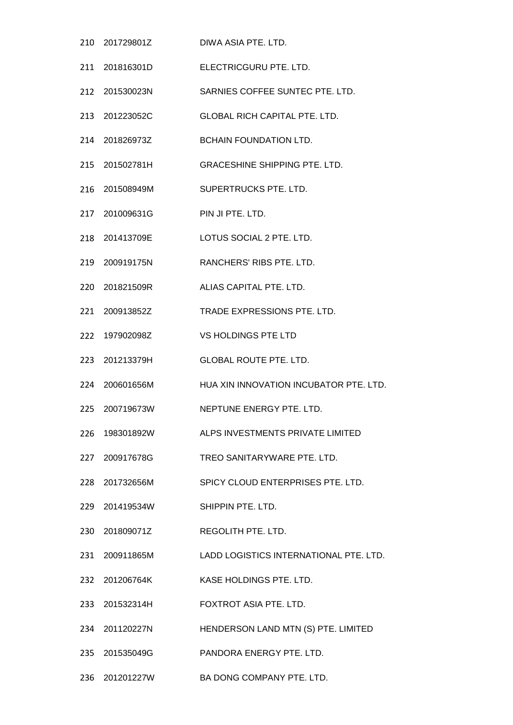| 210 201729801Z                  | DIWA ASIA PTE. LTD.                      |
|---------------------------------|------------------------------------------|
| 211 201816301D                  | ELECTRICGURU PTE. LTD.                   |
| 212 201530023N                  | SARNIES COFFEE SUNTEC PTE. LTD.          |
| 213 201223052C                  | <b>GLOBAL RICH CAPITAL PTE. LTD.</b>     |
| 214 201826973Z                  | <b>BCHAIN FOUNDATION LTD.</b>            |
| 215 201502781H                  | <b>GRACESHINE SHIPPING PTE. LTD.</b>     |
| 216 201508949M                  | SUPERTRUCKS PTE. LTD.                    |
| 217 201009631G PIN JI PTE. LTD. |                                          |
| 218 201413709E                  | LOTUS SOCIAL 2 PTE. LTD.                 |
| 219 200919175N                  | RANCHERS' RIBS PTE. LTD.                 |
| 220 201821509R                  | ALIAS CAPITAL PTE. LTD.                  |
| 221 200913852Z                  | TRADE EXPRESSIONS PTE. LTD.              |
| 222 197902098Z                  | VS HOLDINGS PTE LTD                      |
| 223 201213379H                  | <b>GLOBAL ROUTE PTE. LTD.</b>            |
| 224 200601656M                  | HUA XIN INNOVATION INCUBATOR PTE, LTD.   |
| 225 200719673W                  | NEPTUNE ENERGY PTE, LTD.                 |
|                                 | ALPS INVESTMENTS PRIVATE LIMITED         |
| 227 200917678G                  | TREO SANITARYWARE PTE. LTD.              |
| 228 201732656M                  | SPICY CLOUD ENTERPRISES PTE. LTD.        |
| 229 201419534W                  | SHIPPIN PTE, LTD.                        |
|                                 | REGOLITH PTE. LTD.                       |
| 231 200911865M                  | LADD LOGISTICS INTERNATIONAL PTE. LTD.   |
| 232 201206764K                  | KASE HOLDINGS PTE. LTD.                  |
| 233 201532314H                  | FOXTROT ASIA PTE. LTD.                   |
| 234 201120227N                  | HENDERSON LAND MTN (S) PTE. LIMITED      |
| 235 201535049G                  | PANDORA ENERGY PTE. LTD.                 |
|                                 | 236 201201227W BA DONG COMPANY PTE. LTD. |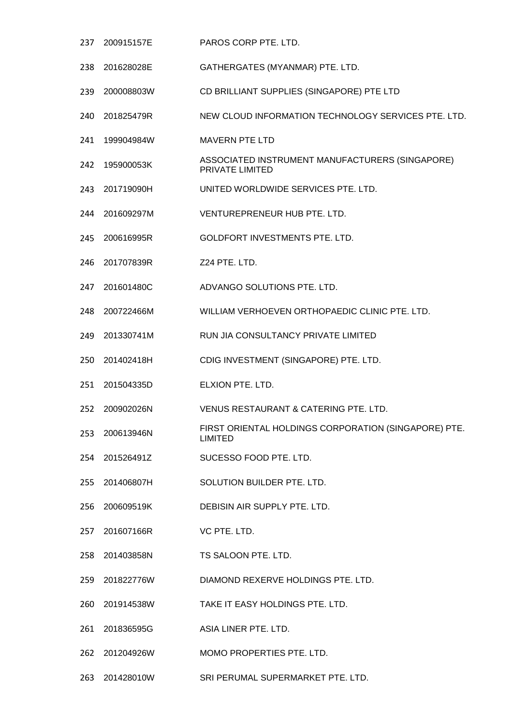200915157E PAROS CORP PTE. LTD. 201628028E GATHERGATES (MYANMAR) PTE. LTD. 200008803W CD BRILLIANT SUPPLIES (SINGAPORE) PTE LTD 201825479R NEW CLOUD INFORMATION TECHNOLOGY SERVICES PTE. LTD. 199904984W MAVERN PTE LTD 195900053K ASSOCIATED INSTRUMENT MANUFACTURERS (SINGAPORE) PRIVATE LIMITED 201719090H UNITED WORLDWIDE SERVICES PTE. LTD. 201609297M VENTUREPRENEUR HUB PTE. LTD. 200616995R GOLDFORT INVESTMENTS PTE. LTD. 201707839R Z24 PTE. LTD. 201601480C ADVANGO SOLUTIONS PTE. LTD. 200722466M WILLIAM VERHOEVEN ORTHOPAEDIC CLINIC PTE. LTD. 201330741M RUN JIA CONSULTANCY PRIVATE LIMITED 201402418H CDIG INVESTMENT (SINGAPORE) PTE. LTD. 201504335D ELXION PTE. LTD. 200902026N VENUS RESTAURANT & CATERING PTE. LTD. 200613946N FIRST ORIENTAL HOLDINGS CORPORATION (SINGAPORE) PTE. LIMITED 201526491Z SUCESSO FOOD PTE. LTD. 201406807H SOLUTION BUILDER PTE. LTD. 200609519K DEBISIN AIR SUPPLY PTE. LTD. 201607166R VC PTE. LTD. 201403858N TS SALOON PTE. LTD. 201822776W DIAMOND REXERVE HOLDINGS PTE. LTD. 201914538W TAKE IT EASY HOLDINGS PTE. LTD. 201836595G ASIA LINER PTE. LTD. 201204926W MOMO PROPERTIES PTE. LTD. 201428010W SRI PERUMAL SUPERMARKET PTE. LTD.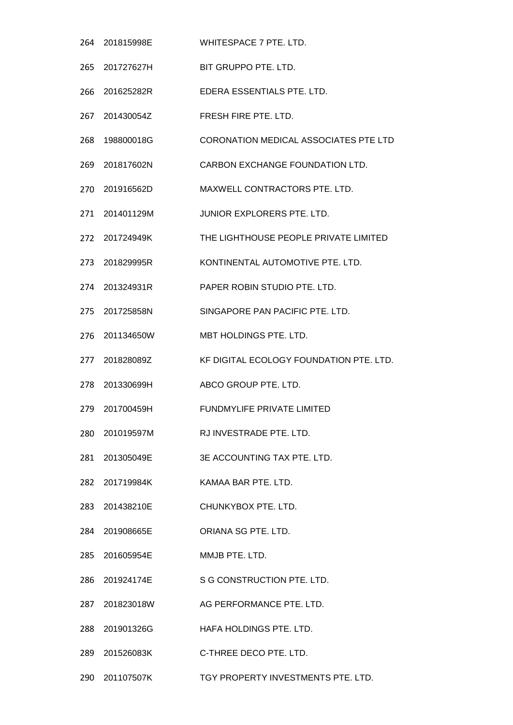|     | 264 201815998E | WHITESPACE 7 PTE. LTD.                  |
|-----|----------------|-----------------------------------------|
|     | 265 201727627H | BIT GRUPPO PTE, LTD.                    |
| 266 | 201625282R     | EDERA ESSENTIALS PTE. LTD.              |
|     | 267 201430054Z | FRESH FIRE PTE. LTD.                    |
| 268 | 198800018G     | CORONATION MEDICAL ASSOCIATES PTE LTD   |
|     | 269 201817602N | CARBON EXCHANGE FOUNDATION LTD.         |
|     | 270 201916562D | MAXWELL CONTRACTORS PTE. LTD.           |
| 271 | 201401129M     | JUNIOR EXPLORERS PTE. LTD.              |
|     | 272 201724949K | THE LIGHTHOUSE PEOPLE PRIVATE LIMITED   |
|     | 273 201829995R | KONTINENTAL AUTOMOTIVE PTE. LTD.        |
|     | 274 201324931R | PAPER ROBIN STUDIO PTE, LTD.            |
|     | 275 201725858N | SINGAPORE PAN PACIFIC PTE. LTD.         |
| 276 | 201134650W     | MBT HOLDINGS PTE. LTD.                  |
| 277 | 201828089Z     | KF DIGITAL ECOLOGY FOUNDATION PTE. LTD. |
|     | 278 201330699H | ABCO GROUP PTE, LTD.                    |
|     | 279 201700459H | FUNDMYLIFE PRIVATE LIMITED              |
|     | 280 201019597M | RJ INVESTRADE PTE. LTD.                 |
|     | 281 201305049E | 3E ACCOUNTING TAX PTE, LTD.             |
|     | 282 201719984K | KAMAA BAR PTE. LTD.                     |
|     | 283 201438210E | CHUNKYBOX PTE. LTD.                     |
|     | 284 201908665E | ORIANA SG PTE. LTD.                     |
|     | 285 201605954E | MMJB PTE. LTD.                          |
|     | 286 201924174E | S G CONSTRUCTION PTE. LTD.              |
|     |                | AG PERFORMANCE PTE. LTD.                |
|     | 288 201901326G | HAFA HOLDINGS PTE. LTD.                 |
|     | 289 201526083K | C-THREE DECO PTE. LTD.                  |
|     | 290 201107507K | TGY PROPERTY INVESTMENTS PTE. LTD.      |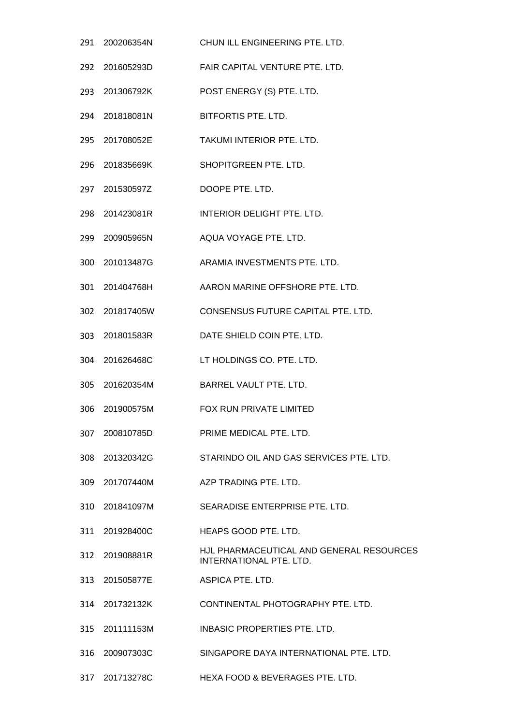|     | 291 200206354N | CHUN ILL ENGINEERING PTE. LTD.                                      |
|-----|----------------|---------------------------------------------------------------------|
|     | 292 201605293D | FAIR CAPITAL VENTURE PTE. LTD.                                      |
|     | 293 201306792K | POST ENERGY (S) PTE. LTD.                                           |
|     | 294 201818081N | BITFORTIS PTE. LTD.                                                 |
|     | 295 201708052E | TAKUMI INTERIOR PTE. LTD.                                           |
|     | 296 201835669K | SHOPITGREEN PTE. LTD.                                               |
|     | 297 201530597Z | DOOPE PTE. LTD.                                                     |
|     | 298 201423081R | INTERIOR DELIGHT PTE. LTD.                                          |
|     | 299 200905965N | AQUA VOYAGE PTE. LTD.                                               |
|     | 300 201013487G | ARAMIA INVESTMENTS PTE, LTD.                                        |
| 301 | 201404768H     | AARON MARINE OFFSHORE PTE. LTD.                                     |
|     | 302 201817405W | CONSENSUS FUTURE CAPITAL PTE. LTD.                                  |
| 303 | 201801583R     | DATE SHIELD COIN PTE. LTD.                                          |
|     | 304 201626468C | LT HOLDINGS CO. PTE. LTD.                                           |
|     | 305 201620354M | BARREL VAULT PTE. LTD.                                              |
| 306 | 201900575M     | FOX RUN PRIVATE LIMITED                                             |
| 307 | 200810785D     | PRIME MEDICAL PTE. LTD.                                             |
| 308 | 201320342G     | STARINDO OIL AND GAS SERVICES PTE. LTD.                             |
|     | 309 201707440M | AZP TRADING PTE. LTD.                                               |
|     | 310 201841097M | SEARADISE ENTERPRISE PTE. LTD.                                      |
| 311 | 201928400C     | HEAPS GOOD PTE. LTD.                                                |
|     | 312 201908881R | HJL PHARMACEUTICAL AND GENERAL RESOURCES<br>INTERNATIONAL PTE. LTD. |
|     | 313 201505877E | ASPICA PTE, LTD.                                                    |
|     | 314 201732132K | CONTINENTAL PHOTOGRAPHY PTE. LTD.                                   |
|     | 315 201111153M | INBASIC PROPERTIES PTE. LTD.                                        |
| 316 | 200907303C     | SINGAPORE DAYA INTERNATIONAL PTE, LTD.                              |
|     | 317 201713278C | HEXA FOOD & BEVERAGES PTE. LTD.                                     |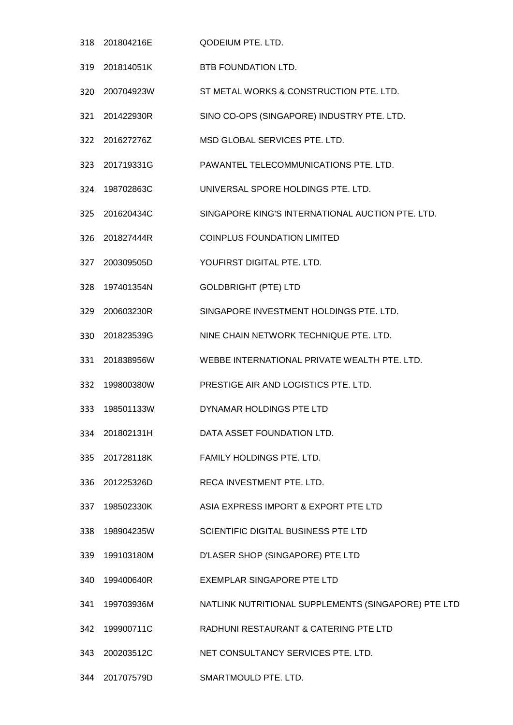- 201804216E QODEIUM PTE. LTD.
- 201814051K BTB FOUNDATION LTD.
- 200704923W ST METAL WORKS & CONSTRUCTION PTE. LTD.
- 201422930R SINO CO-OPS (SINGAPORE) INDUSTRY PTE. LTD.
- 201627276Z MSD GLOBAL SERVICES PTE. LTD.
- 201719331G PAWANTEL TELECOMMUNICATIONS PTE. LTD.
- 198702863C UNIVERSAL SPORE HOLDINGS PTE. LTD.
- 201620434C SINGAPORE KING'S INTERNATIONAL AUCTION PTE. LTD.
- 201827444R COINPLUS FOUNDATION LIMITED
- 200309505D YOUFIRST DIGITAL PTE. LTD.
- 197401354N GOLDBRIGHT (PTE) LTD
- 200603230R SINGAPORE INVESTMENT HOLDINGS PTE. LTD.
- 201823539G NINE CHAIN NETWORK TECHNIQUE PTE. LTD.
- 201838956W WEBBE INTERNATIONAL PRIVATE WEALTH PTE. LTD.
- 199800380W PRESTIGE AIR AND LOGISTICS PTE. LTD.
- 198501133W DYNAMAR HOLDINGS PTE LTD
- 201802131H DATA ASSET FOUNDATION LTD.
- 201728118K FAMILY HOLDINGS PTE. LTD.
- 201225326D RECA INVESTMENT PTE. LTD.
- 198502330K ASIA EXPRESS IMPORT & EXPORT PTE LTD
- 198904235W SCIENTIFIC DIGITAL BUSINESS PTE LTD
- 199103180M D'LASER SHOP (SINGAPORE) PTE LTD
- 199400640R EXEMPLAR SINGAPORE PTE LTD
- 199703936M NATLINK NUTRITIONAL SUPPLEMENTS (SINGAPORE) PTE LTD
- 199900711C RADHUNI RESTAURANT & CATERING PTE LTD
- 200203512C NET CONSULTANCY SERVICES PTE. LTD.
- 201707579D SMARTMOULD PTE. LTD.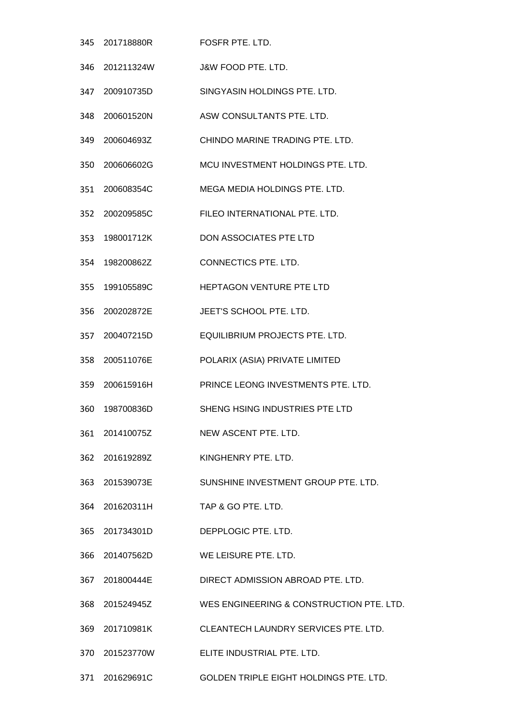|     | 345 201718880R | FOSFR PTE. LTD.                          |
|-----|----------------|------------------------------------------|
|     | 346 201211324W | J&W FOOD PTE. LTD.                       |
| 347 | 200910735D     | SINGYASIN HOLDINGS PTE. LTD.             |
|     | 348 200601520N | ASW CONSULTANTS PTE. LTD.                |
|     | 349 200604693Z | CHINDO MARINE TRADING PTE. LTD.          |
| 350 | 200606602G     | MCU INVESTMENT HOLDINGS PTE. LTD.        |
|     | 351 200608354C | MEGA MEDIA HOLDINGS PTE. LTD.            |
| 352 | 200209585C     | FILEO INTERNATIONAL PTE. LTD.            |
|     | 353 198001712K | DON ASSOCIATES PTE LTD                   |
|     | 354 198200862Z | CONNECTICS PTE. LTD.                     |
| 355 | 199105589C     | HEPTAGON VENTURE PTE LTD                 |
|     | 356 200202872E | JEET'S SCHOOL PTE. LTD.                  |
| 357 | 200407215D     | EQUILIBRIUM PROJECTS PTE. LTD.           |
| 358 | 200511076E     | POLARIX (ASIA) PRIVATE LIMITED           |
|     | 359 200615916H | PRINCE LEONG INVESTMENTS PTE. LTD.       |
| 360 | 198700836D     | SHENG HSING INDUSTRIES PTE LTD           |
|     | 361 201410075Z | NEW ASCENT PTE. LTD.                     |
|     | 362 201619289Z | KINGHENRY PTE. LTD.                      |
|     | 363 201539073E | SUNSHINE INVESTMENT GROUP PTE. LTD.      |
|     | 364 201620311H | TAP & GO PTE, LTD.                       |
|     | 365 201734301D | DEPPLOGIC PTE, LTD.                      |
|     | 366 201407562D | WE LEISURE PTE. LTD.                     |
|     | 367 201800444E | DIRECT ADMISSION ABROAD PTE. LTD.        |
|     | 368 201524945Z | WES ENGINEERING & CONSTRUCTION PTE. LTD. |
|     | 369 201710981K | CLEANTECH LAUNDRY SERVICES PTE. LTD.     |
|     | 370 201523770W | ELITE INDUSTRIAL PTE. LTD.               |
|     | 371 201629691C | GOLDEN TRIPLE EIGHT HOLDINGS PTE. LTD.   |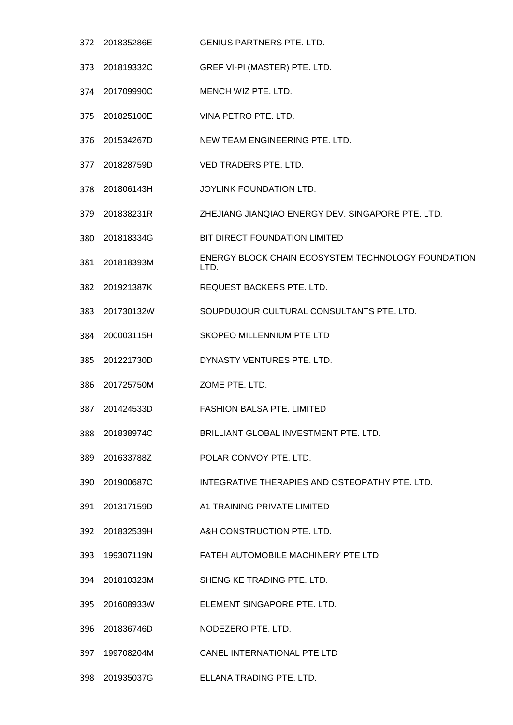201835286E GENIUS PARTNERS PTE. LTD. 201819332C GREF VI-PI (MASTER) PTE. LTD. 201709990C MENCH WIZ PTE. LTD. 201825100E VINA PETRO PTE. LTD. 201534267D NEW TEAM ENGINEERING PTE. LTD. 201828759D VED TRADERS PTE. LTD. 201806143H JOYLINK FOUNDATION LTD. 201838231R ZHEJIANG JIANQIAO ENERGY DEV. SINGAPORE PTE. LTD. 201818334G BIT DIRECT FOUNDATION LIMITED 201818393M ENERGY BLOCK CHAIN ECOSYSTEM TECHNOLOGY FOUNDATION LTD. 201921387K REQUEST BACKERS PTE. LTD. 201730132W SOUPDUJOUR CULTURAL CONSULTANTS PTE. LTD. 200003115H SKOPEO MILLENNIUM PTE LTD 201221730D DYNASTY VENTURES PTE. LTD. 201725750M ZOME PTE. LTD. 201424533D FASHION BALSA PTE. LIMITED 201838974C BRILLIANT GLOBAL INVESTMENT PTE. LTD. 201633788Z POLAR CONVOY PTE. LTD. 201900687C INTEGRATIVE THERAPIES AND OSTEOPATHY PTE. LTD. 201317159D A1 TRAINING PRIVATE LIMITED 201832539H A&H CONSTRUCTION PTE. LTD. 199307119N FATEH AUTOMOBILE MACHINERY PTE LTD 201810323M SHENG KE TRADING PTE. LTD. 201608933W ELEMENT SINGAPORE PTE. LTD. 201836746D NODEZERO PTE. LTD. 199708204M CANEL INTERNATIONAL PTE LTD 201935037G ELLANA TRADING PTE. LTD.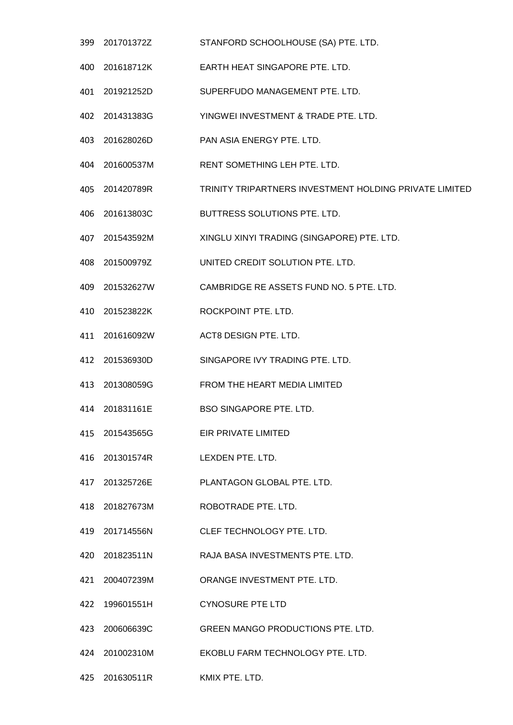- 201701372Z STANFORD SCHOOLHOUSE (SA) PTE. LTD.
- 201618712K EARTH HEAT SINGAPORE PTE. LTD.
- 201921252D SUPERFUDO MANAGEMENT PTE. LTD.
- 201431383G YINGWEI INVESTMENT & TRADE PTE. LTD.
- 201628026D PAN ASIA ENERGY PTE. LTD.
- 201600537M RENT SOMETHING LEH PTE. LTD.
- 201420789R TRINITY TRIPARTNERS INVESTMENT HOLDING PRIVATE LIMITED
- 201613803C BUTTRESS SOLUTIONS PTE. LTD.
- 201543592M XINGLU XINYI TRADING (SINGAPORE) PTE. LTD.
- 201500979Z UNITED CREDIT SOLUTION PTE. LTD.
- 201532627W CAMBRIDGE RE ASSETS FUND NO. 5 PTE. LTD.
- 201523822K ROCKPOINT PTE. LTD.
- 201616092W ACT8 DESIGN PTE. LTD.
- 201536930D SINGAPORE IVY TRADING PTE. LTD.
- 201308059G FROM THE HEART MEDIA LIMITED
- 201831161E BSO SINGAPORE PTE. LTD.
- 201543565G EIR PRIVATE LIMITED
- 201301574R LEXDEN PTE. LTD.
- 201325726E PLANTAGON GLOBAL PTE. LTD.
- 201827673M ROBOTRADE PTE. LTD.
- 201714556N CLEF TECHNOLOGY PTE. LTD.
- 201823511N RAJA BASA INVESTMENTS PTE. LTD.
- 200407239M ORANGE INVESTMENT PTE. LTD.
- 199601551H CYNOSURE PTE LTD
- 200606639C GREEN MANGO PRODUCTIONS PTE. LTD.
- 201002310M EKOBLU FARM TECHNOLOGY PTE. LTD.
- 201630511R KMIX PTE. LTD.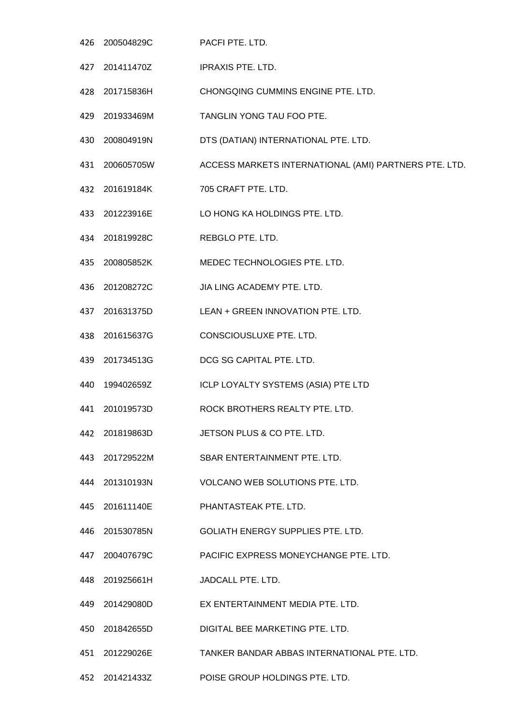- 200504829C PACFI PTE. LTD.
- 201411470Z IPRAXIS PTE. LTD.
- 201715836H CHONGQING CUMMINS ENGINE PTE. LTD.
- 201933469M TANGLIN YONG TAU FOO PTE.
- 200804919N DTS (DATIAN) INTERNATIONAL PTE. LTD.
- 200605705W ACCESS MARKETS INTERNATIONAL (AMI) PARTNERS PTE. LTD.
- 201619184K 705 CRAFT PTE. LTD.
- 201223916E LO HONG KA HOLDINGS PTE. LTD.
- 201819928C REBGLO PTE. LTD.
- 200805852K MEDEC TECHNOLOGIES PTE. LTD.
- 201208272C JIA LING ACADEMY PTE. LTD.
- 201631375D LEAN + GREEN INNOVATION PTE. LTD.
- 201615637G CONSCIOUSLUXE PTE. LTD.
- 201734513G DCG SG CAPITAL PTE. LTD.
- 199402659Z ICLP LOYALTY SYSTEMS (ASIA) PTE LTD
- 201019573D ROCK BROTHERS REALTY PTE. LTD.
- 201819863D JETSON PLUS & CO PTE. LTD.
- 201729522M SBAR ENTERTAINMENT PTE. LTD.
- 201310193N VOLCANO WEB SOLUTIONS PTE. LTD.
- 201611140E PHANTASTEAK PTE. LTD.
- 201530785N GOLIATH ENERGY SUPPLIES PTE. LTD.
- 200407679C PACIFIC EXPRESS MONEYCHANGE PTE. LTD.
- 201925661H JADCALL PTE. LTD.
- 201429080D EX ENTERTAINMENT MEDIA PTE. LTD.
- 201842655D DIGITAL BEE MARKETING PTE. LTD.
- 201229026E TANKER BANDAR ABBAS INTERNATIONAL PTE. LTD.
- 201421433Z POISE GROUP HOLDINGS PTE. LTD.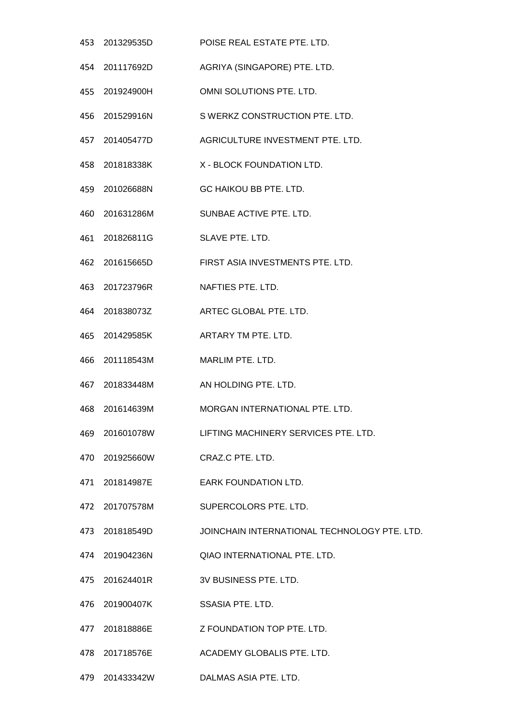|     | 453 201329535D | POISE REAL ESTATE PTE. LTD.                         |
|-----|----------------|-----------------------------------------------------|
|     | 454 201117692D | AGRIYA (SINGAPORE) PTE. LTD.                        |
|     | 455 201924900H | OMNI SOLUTIONS PTE. LTD.                            |
|     | 456 201529916N | S WERKZ CONSTRUCTION PTE. LTD.                      |
|     | 457 201405477D | AGRICULTURE INVESTMENT PTE. LTD.                    |
|     | 458 201818338K | X - BLOCK FOUNDATION LTD.                           |
|     | 459 201026688N | GC HAIKOU BB PTE. LTD.                              |
|     | 460 201631286M | SUNBAE ACTIVE PTE. LTD.                             |
|     | 461 201826811G | SLAVE PTE. LTD.                                     |
|     | 462 201615665D | FIRST ASIA INVESTMENTS PTE. LTD.                    |
|     | 463 201723796R | NAFTIES PTE, LTD.                                   |
|     |                | 464 201838073Z ARTEC GLOBAL PTE. LTD.               |
|     | 465 201429585K | ARTARY TM PTE. LTD.                                 |
| 466 | 201118543M     | MARLIM PTE. LTD.                                    |
|     | 467 201833448M | AN HOLDING PTE. LTD.                                |
| 468 | 201614639M     | MORGAN INTERNATIONAL PTE. LTD.                      |
|     |                | 469 201601078W LIFTING MACHINERY SERVICES PTE. LTD. |
|     | 470 201925660W | CRAZ.C PTE. LTD.                                    |
|     |                | 471 201814987E EARK FOUNDATION LTD.                 |
|     | 472 201707578M | SUPERCOLORS PTE. LTD.                               |
|     | 473 201818549D | JOINCHAIN INTERNATIONAL TECHNOLOGY PTE. LTD.        |
|     | 474 201904236N | QIAO INTERNATIONAL PTE. LTD.                        |
|     | 475 201624401R | 3V BUSINESS PTE. LTD.                               |
|     | 476 201900407K | <b>SSASIA PTE. LTD.</b>                             |
|     |                | 477 201818886E Z FOUNDATION TOP PTE. LTD.           |
|     | 478 201718576E | ACADEMY GLOBALIS PTE. LTD.                          |
|     | 479 201433342W | DALMAS ASIA PTE. LTD.                               |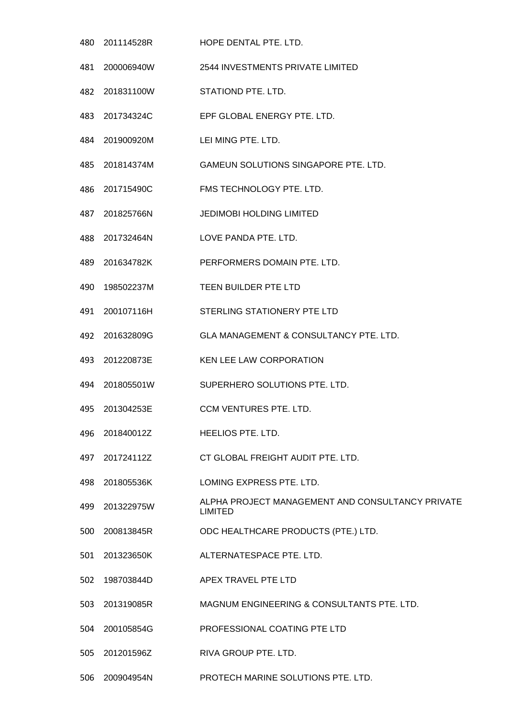201114528R HOPE DENTAL PTE. LTD. 200006940W 2544 INVESTMENTS PRIVATE LIMITED 201831100W STATIOND PTE. LTD. 201734324C EPF GLOBAL ENERGY PTE. LTD. 201900920M LEI MING PTE. LTD. 201814374M GAMEUN SOLUTIONS SINGAPORE PTE. LTD. 201715490C FMS TECHNOLOGY PTE. LTD. 201825766N JEDIMOBI HOLDING LIMITED 201732464N LOVE PANDA PTE. LTD. 201634782K PERFORMERS DOMAIN PTE. LTD. 198502237M TEEN BUILDER PTE LTD 200107116H STERLING STATIONERY PTE LTD 201632809G GLA MANAGEMENT & CONSULTANCY PTE. LTD. 201220873E KEN LEE LAW CORPORATION 201805501W SUPERHERO SOLUTIONS PTE. LTD. 201304253E CCM VENTURES PTE. LTD. 201840012Z HEELIOS PTE. LTD. 201724112Z CT GLOBAL FREIGHT AUDIT PTE. LTD. 201805536K LOMING EXPRESS PTE. LTD. 499 201322975W ALPHA PROJECT MANAGEMENT AND CONSULTANCY PRIVATE LIMITED 200813845R ODC HEALTHCARE PRODUCTS (PTE.) LTD. 201323650K ALTERNATESPACE PTE. LTD. 198703844D APEX TRAVEL PTE LTD 201319085R MAGNUM ENGINEERING & CONSULTANTS PTE. LTD. 200105854G PROFESSIONAL COATING PTE LTD 201201596Z RIVA GROUP PTE. LTD. 200904954N PROTECH MARINE SOLUTIONS PTE. LTD.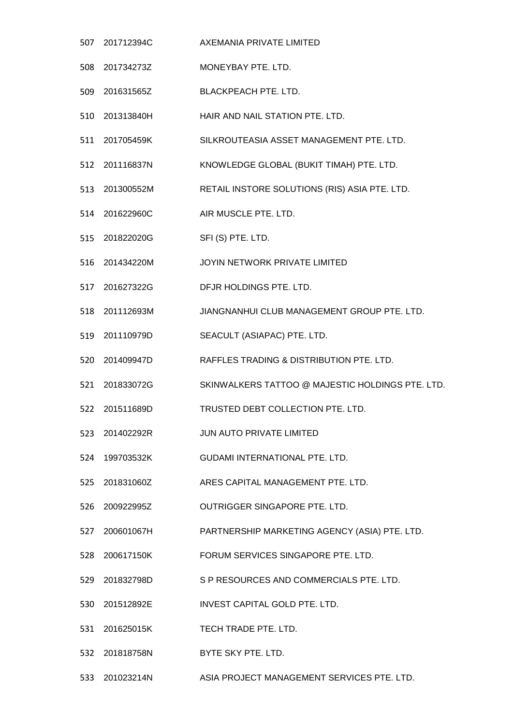- 201712394C AXEMANIA PRIVATE LIMITED
- 201734273Z MONEYBAY PTE. LTD.
- 201631565Z BLACKPEACH PTE. LTD.
- 201313840H HAIR AND NAIL STATION PTE. LTD.
- 201705459K SILKROUTEASIA ASSET MANAGEMENT PTE. LTD.
- 201116837N KNOWLEDGE GLOBAL (BUKIT TIMAH) PTE. LTD.
- 201300552M RETAIL INSTORE SOLUTIONS (RIS) ASIA PTE. LTD.
- 201622960C AIR MUSCLE PTE. LTD.
- 201822020G SFI (S) PTE. LTD.
- 201434220M JOYIN NETWORK PRIVATE LIMITED
- 201627322G DFJR HOLDINGS PTE. LTD.
- 201112693M JIANGNANHUI CLUB MANAGEMENT GROUP PTE. LTD.
- 201110979D SEACULT (ASIAPAC) PTE. LTD.
- 201409947D RAFFLES TRADING & DISTRIBUTION PTE. LTD.
- 201833072G SKINWALKERS TATTOO @ MAJESTIC HOLDINGS PTE. LTD.
- 201511689D TRUSTED DEBT COLLECTION PTE. LTD.
- 201402292R JUN AUTO PRIVATE LIMITED
- 199703532K GUDAMI INTERNATIONAL PTE. LTD.
- 201831060Z ARES CAPITAL MANAGEMENT PTE. LTD.
- 200922995Z OUTRIGGER SINGAPORE PTE. LTD.
- 200601067H PARTNERSHIP MARKETING AGENCY (ASIA) PTE. LTD.
- 200617150K FORUM SERVICES SINGAPORE PTE. LTD.
- 201832798D S P RESOURCES AND COMMERCIALS PTE. LTD.
- 201512892E INVEST CAPITAL GOLD PTE. LTD.
- 201625015K TECH TRADE PTE. LTD.
- 201818758N BYTE SKY PTE. LTD.
- 201023214N ASIA PROJECT MANAGEMENT SERVICES PTE. LTD.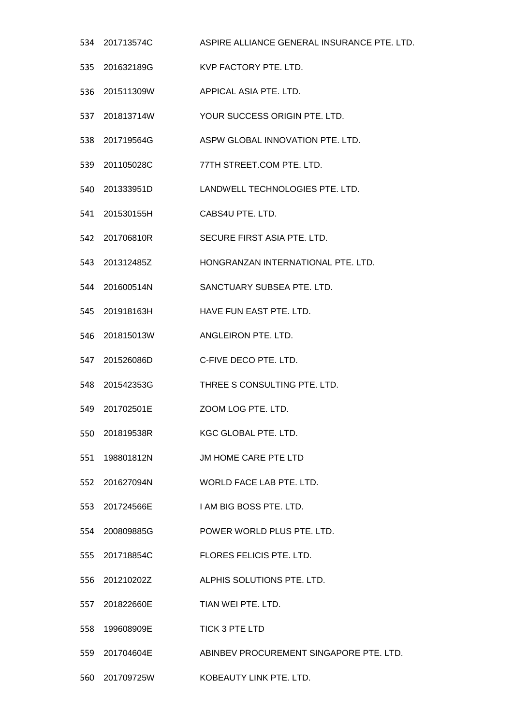- 201713574C ASPIRE ALLIANCE GENERAL INSURANCE PTE. LTD. 201632189G KVP FACTORY PTE. LTD. 201511309W APPICAL ASIA PTE. LTD. 201813714W YOUR SUCCESS ORIGIN PTE. LTD. 201719564G ASPW GLOBAL INNOVATION PTE. LTD. 201105028C 77TH STREET.COM PTE. LTD. 201333951D LANDWELL TECHNOLOGIES PTE. LTD. 201530155H CABS4U PTE. LTD. 201706810R SECURE FIRST ASIA PTE. LTD. 201312485Z HONGRANZAN INTERNATIONAL PTE. LTD. 201600514N SANCTUARY SUBSEA PTE. LTD. 201918163H HAVE FUN EAST PTE. LTD. 201815013W ANGLEIRON PTE. LTD. 201526086D C-FIVE DECO PTE. LTD. 201542353G THREE S CONSULTING PTE. LTD. 201702501E ZOOM LOG PTE. LTD. 201819538R KGC GLOBAL PTE. LTD. 198801812N JM HOME CARE PTE LTD 201627094N WORLD FACE LAB PTE. LTD. 201724566E I AM BIG BOSS PTE. LTD. 200809885G POWER WORLD PLUS PTE. LTD. 201718854C FLORES FELICIS PTE. LTD. 201210202Z ALPHIS SOLUTIONS PTE. LTD. 201822660E TIAN WEI PTE. LTD. 199608909E TICK 3 PTE LTD 201704604E ABINBEV PROCUREMENT SINGAPORE PTE. LTD.
- 201709725W KOBEAUTY LINK PTE. LTD.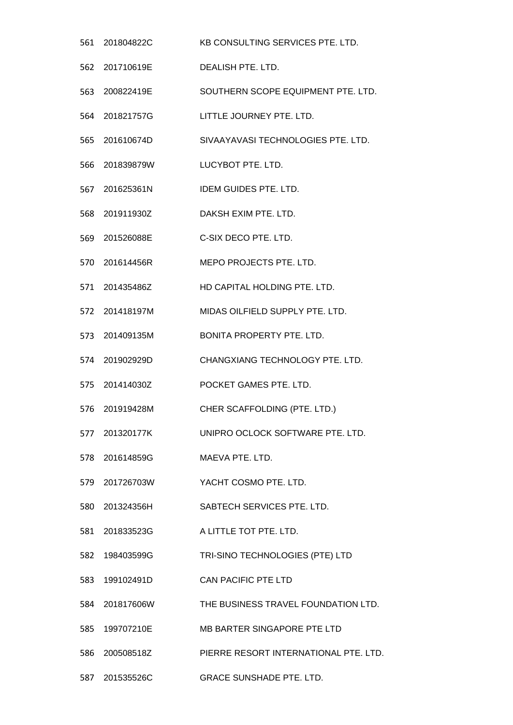- 201804822C KB CONSULTING SERVICES PTE. LTD. 201710619E DEALISH PTE. LTD. 200822419E SOUTHERN SCOPE EQUIPMENT PTE. LTD. 201821757G LITTLE JOURNEY PTE. LTD. 201610674D SIVAAYAVASI TECHNOLOGIES PTE. LTD. 201839879W LUCYBOT PTE. LTD. 201625361N IDEM GUIDES PTE. LTD. 201911930Z DAKSH EXIM PTE. LTD. 201526088E C-SIX DECO PTE. LTD. 201614456R MEPO PROJECTS PTE. LTD. 201435486Z HD CAPITAL HOLDING PTE. LTD. 201418197M MIDAS OILFIELD SUPPLY PTE. LTD. 201409135M BONITA PROPERTY PTE. LTD. 201902929D CHANGXIANG TECHNOLOGY PTE. LTD. 201414030Z POCKET GAMES PTE. LTD. 201919428M CHER SCAFFOLDING (PTE. LTD.) 201320177K UNIPRO OCLOCK SOFTWARE PTE. LTD. 201614859G MAEVA PTE. LTD. 201726703W YACHT COSMO PTE. LTD. 201324356H SABTECH SERVICES PTE. LTD. 201833523G A LITTLE TOT PTE. LTD. 198403599G TRI-SINO TECHNOLOGIES (PTE) LTD 199102491D CAN PACIFIC PTE LTD 201817606W THE BUSINESS TRAVEL FOUNDATION LTD. 199707210E MB BARTER SINGAPORE PTE LTD 200508518Z PIERRE RESORT INTERNATIONAL PTE. LTD.
- 201535526C GRACE SUNSHADE PTE. LTD.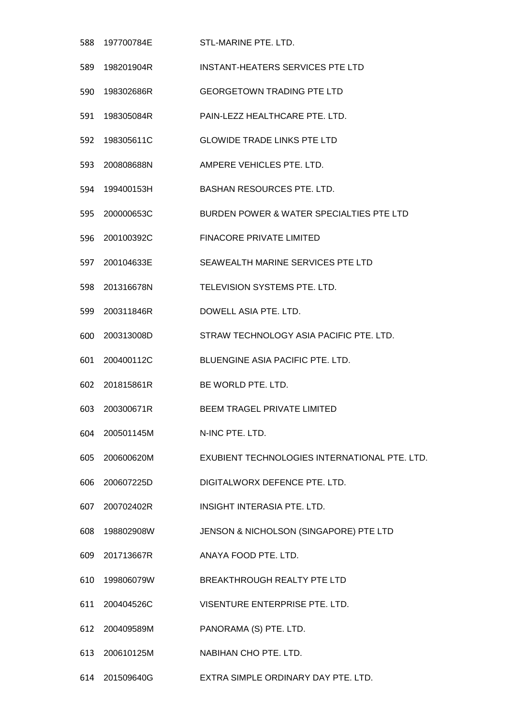| 588 | 197700784E     | STL-MARINE PTE, LTD.                          |
|-----|----------------|-----------------------------------------------|
| 589 | 198201904R     | <b>INSTANT-HEATERS SERVICES PTE LTD</b>       |
| 590 | 198302686R     | <b>GEORGETOWN TRADING PTE LTD</b>             |
| 591 | 198305084R     | PAIN-LEZZ HEALTHCARE PTE. LTD.                |
| 592 | 198305611C     | <b>GLOWIDE TRADE LINKS PTE LTD</b>            |
| 593 | 200808688N     | AMPERE VEHICLES PTE. LTD.                     |
| 594 | 199400153H     | <b>BASHAN RESOURCES PTE. LTD.</b>             |
| 595 | 200000653C     | BURDEN POWER & WATER SPECIALTIES PTE LTD      |
| 596 | 200100392C     | <b>FINACORE PRIVATE LIMITED</b>               |
|     | 597 200104633E | SEAWEALTH MARINE SERVICES PTE LTD             |
| 598 | 201316678N     | TELEVISION SYSTEMS PTE. LTD.                  |
| 599 | 200311846R     | DOWELL ASIA PTE, LTD.                         |
| 600 | 200313008D     | STRAW TECHNOLOGY ASIA PACIFIC PTE, LTD.       |
| 601 | 200400112C     | <b>BLUENGINE ASIA PACIFIC PTE, LTD.</b>       |
|     | 602 201815861R | BE WORLD PTE. LTD.                            |
| 603 | 200300671R     | <b>BEEM TRAGEL PRIVATE LIMITED</b>            |
| 604 | 200501145M     | N-INC PTE. LTD.                               |
| 605 | 200600620M     | EXUBIENT TECHNOLOGIES INTERNATIONAL PTE. LTD. |
|     | 606 200607225D | DIGITALWORX DEFENCE PTE. LTD.                 |
|     | 607 200702402R | INSIGHT INTERASIA PTE. LTD.                   |
| 608 | 198802908W     | JENSON & NICHOLSON (SINGAPORE) PTE LTD        |
|     | 609 201713667R | ANAYA FOOD PTE. LTD.                          |
| 610 | 199806079W     | BREAKTHROUGH REALTY PTE LTD                   |
|     | 611 200404526C | VISENTURE ENTERPRISE PTE. LTD.                |
|     | 612 200409589M | PANORAMA (S) PTE. LTD.                        |
| 613 | 200610125M     | NABIHAN CHO PTE. LTD.                         |
|     | 614 201509640G | EXTRA SIMPLE ORDINARY DAY PTE. LTD.           |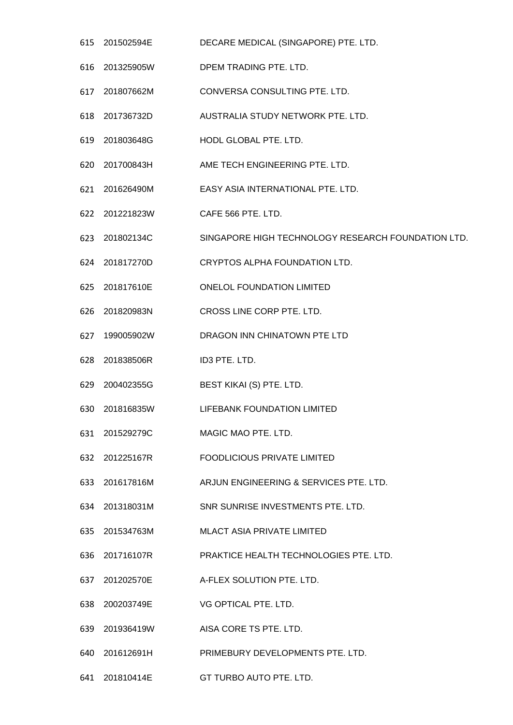- 201502594E DECARE MEDICAL (SINGAPORE) PTE. LTD.
- 201325905W DPEM TRADING PTE. LTD.
- 201807662M CONVERSA CONSULTING PTE. LTD.
- 201736732D AUSTRALIA STUDY NETWORK PTE. LTD.
- 201803648G HODL GLOBAL PTE. LTD.
- 201700843H AME TECH ENGINEERING PTE. LTD.
- 201626490M EASY ASIA INTERNATIONAL PTE. LTD.
- 201221823W CAFE 566 PTE. LTD.
- 201802134C SINGAPORE HIGH TECHNOLOGY RESEARCH FOUNDATION LTD.
- 201817270D CRYPTOS ALPHA FOUNDATION LTD.
- 201817610E ONELOL FOUNDATION LIMITED
- 201820983N CROSS LINE CORP PTE. LTD.
- 199005902W DRAGON INN CHINATOWN PTE LTD
- 201838506R ID3 PTE. LTD.
- 200402355G BEST KIKAI (S) PTE. LTD.
- 201816835W LIFEBANK FOUNDATION LIMITED
- 201529279C MAGIC MAO PTE. LTD.
- 201225167R FOODLICIOUS PRIVATE LIMITED
- 201617816M ARJUN ENGINEERING & SERVICES PTE. LTD.
- 201318031M SNR SUNRISE INVESTMENTS PTE. LTD.
- 201534763M MLACT ASIA PRIVATE LIMITED
- 201716107R PRAKTICE HEALTH TECHNOLOGIES PTE. LTD.
- 201202570E A-FLEX SOLUTION PTE. LTD.
- 200203749E VG OPTICAL PTE. LTD.
- 201936419W AISA CORE TS PTE. LTD.
- 201612691H PRIMEBURY DEVELOPMENTS PTE. LTD.
- 201810414E GT TURBO AUTO PTE. LTD.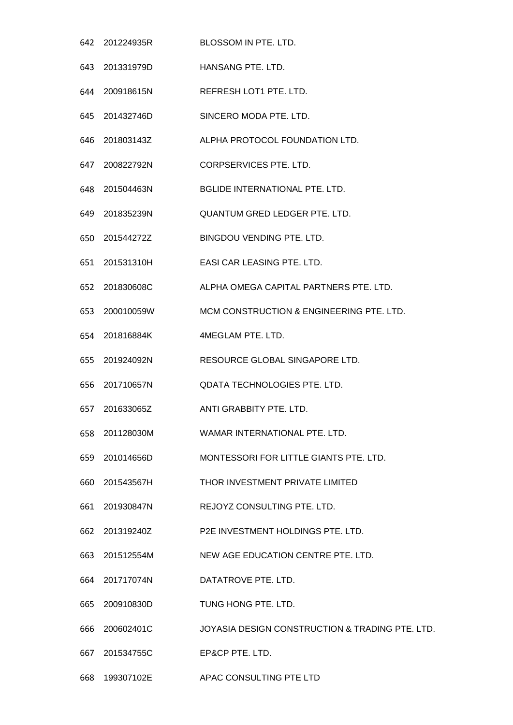201224935R BLOSSOM IN PTE. LTD. 201331979D HANSANG PTE. LTD. 200918615N REFRESH LOT1 PTE. LTD. 201432746D SINCERO MODA PTE. LTD. 201803143Z ALPHA PROTOCOL FOUNDATION LTD. 200822792N CORPSERVICES PTE. LTD. 201504463N BGLIDE INTERNATIONAL PTE. LTD. 201835239N QUANTUM GRED LEDGER PTE. LTD. 201544272Z BINGDOU VENDING PTE. LTD. 201531310H EASI CAR LEASING PTE. LTD. 201830608C ALPHA OMEGA CAPITAL PARTNERS PTE. LTD. 200010059W MCM CONSTRUCTION & ENGINEERING PTE. LTD. 201816884K 4MEGLAM PTE. LTD. 201924092N RESOURCE GLOBAL SINGAPORE LTD. 201710657N QDATA TECHNOLOGIES PTE. LTD. 201633065Z ANTI GRABBITY PTE. LTD. 201128030M WAMAR INTERNATIONAL PTE. LTD. 201014656D MONTESSORI FOR LITTLE GIANTS PTE. LTD. 201543567H THOR INVESTMENT PRIVATE LIMITED 201930847N REJOYZ CONSULTING PTE. LTD. 201319240Z P2E INVESTMENT HOLDINGS PTE. LTD. 201512554M NEW AGE EDUCATION CENTRE PTE. LTD. 201717074N DATATROVE PTE. LTD. 200910830D TUNG HONG PTE. LTD. 200602401C JOYASIA DESIGN CONSTRUCTION & TRADING PTE. LTD. 201534755C EP&CP PTE. LTD. 199307102E APAC CONSULTING PTE LTD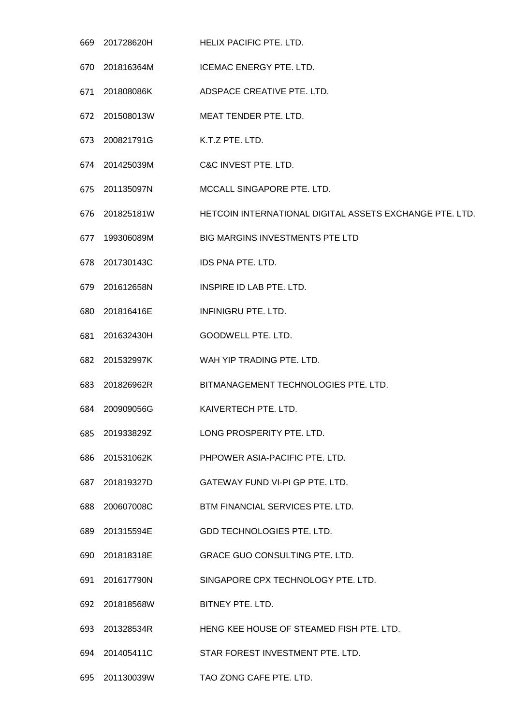- 201728620H HELIX PACIFIC PTE. LTD. 201816364M ICEMAC ENERGY PTE. LTD. 201808086K ADSPACE CREATIVE PTE. LTD. 201508013W MEAT TENDER PTE. LTD. 200821791G K.T.Z PTE. LTD. 201425039M C&C INVEST PTE. LTD. 201135097N MCCALL SINGAPORE PTE. LTD. 201825181W HETCOIN INTERNATIONAL DIGITAL ASSETS EXCHANGE PTE. LTD. 199306089M BIG MARGINS INVESTMENTS PTE LTD 201730143C IDS PNA PTE. LTD. 201612658N INSPIRE ID LAB PTE. LTD. 201816416E INFINIGRU PTE. LTD. 201632430H GOODWELL PTE. LTD. 201532997K WAH YIP TRADING PTE. LTD. 201826962R BITMANAGEMENT TECHNOLOGIES PTE. LTD. 200909056G KAIVERTECH PTE. LTD. 201933829Z LONG PROSPERITY PTE. LTD. 201531062K PHPOWER ASIA-PACIFIC PTE. LTD. 201819327D GATEWAY FUND VI-PI GP PTE. LTD. 200607008C BTM FINANCIAL SERVICES PTE. LTD. 201315594E GDD TECHNOLOGIES PTE. LTD. 201818318E GRACE GUO CONSULTING PTE. LTD. 201617790N SINGAPORE CPX TECHNOLOGY PTE. LTD. 201818568W BITNEY PTE. LTD. 201328534R HENG KEE HOUSE OF STEAMED FISH PTE. LTD. 201405411C STAR FOREST INVESTMENT PTE. LTD.
- 201130039W TAO ZONG CAFE PTE. LTD.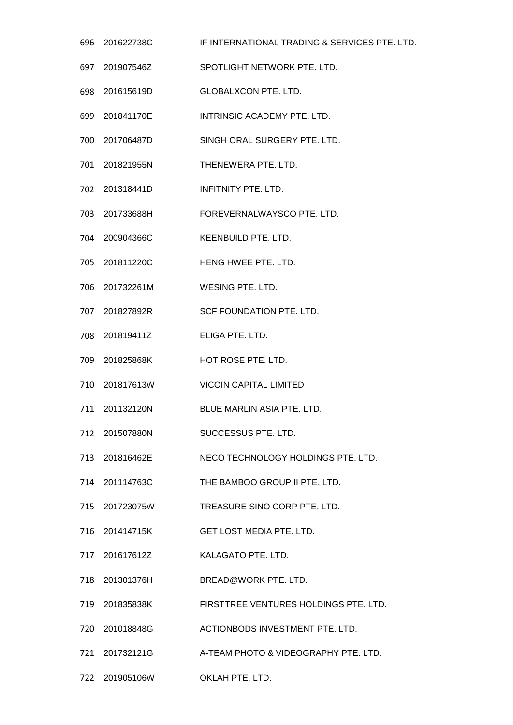201622738C IF INTERNATIONAL TRADING & SERVICES PTE. LTD. 201907546Z SPOTLIGHT NETWORK PTE. LTD. 201615619D GLOBALXCON PTE. LTD. 201841170E INTRINSIC ACADEMY PTE. LTD. 201706487D SINGH ORAL SURGERY PTE. LTD. 201821955N THENEWERA PTE. LTD. 201318441D INFITNITY PTE. LTD. 201733688H FOREVERNALWAYSCO PTE. LTD. 200904366C KEENBUILD PTE. LTD. 201811220C HENG HWEE PTE. LTD. 201732261M WESING PTE. LTD. 201827892R SCF FOUNDATION PTE. LTD. 201819411Z ELIGA PTE. LTD. 201825868K HOT ROSE PTE. LTD. 201817613W VICOIN CAPITAL LIMITED 201132120N BLUE MARLIN ASIA PTE. LTD. 201507880N SUCCESSUS PTE. LTD. 201816462E NECO TECHNOLOGY HOLDINGS PTE. LTD. 201114763C THE BAMBOO GROUP II PTE. LTD. 201723075W TREASURE SINO CORP PTE. LTD. 201414715K GET LOST MEDIA PTE. LTD. 201617612Z KALAGATO PTE. LTD. 201301376H BREAD@WORK PTE. LTD. 201835838K FIRSTTREE VENTURES HOLDINGS PTE. LTD. 201018848G ACTIONBODS INVESTMENT PTE. LTD. 201732121G A-TEAM PHOTO & VIDEOGRAPHY PTE. LTD.

201905106W OKLAH PTE. LTD.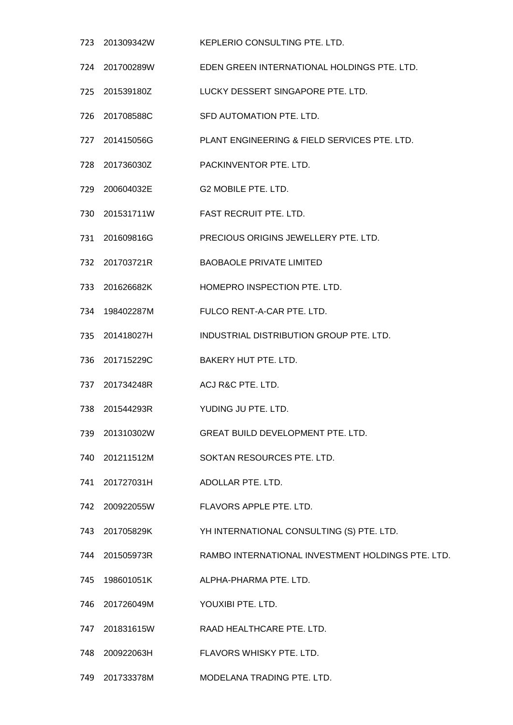- 201309342W KEPLERIO CONSULTING PTE. LTD.
- 201700289W EDEN GREEN INTERNATIONAL HOLDINGS PTE. LTD.
- 201539180Z LUCKY DESSERT SINGAPORE PTE. LTD.
- 201708588C SFD AUTOMATION PTE. LTD.
- 201415056G PLANT ENGINEERING & FIELD SERVICES PTE. LTD.
- 201736030Z PACKINVENTOR PTE. LTD.
- 200604032E G2 MOBILE PTE. LTD.
- 201531711W FAST RECRUIT PTE. LTD.
- 201609816G PRECIOUS ORIGINS JEWELLERY PTE. LTD.
- 201703721R BAOBAOLE PRIVATE LIMITED
- 201626682K HOMEPRO INSPECTION PTE. LTD.
- 198402287M FULCO RENT-A-CAR PTE. LTD.
- 201418027H INDUSTRIAL DISTRIBUTION GROUP PTE. LTD.
- 201715229C BAKERY HUT PTE. LTD.
- 201734248R ACJ R&C PTE. LTD.
- 201544293R YUDING JU PTE. LTD.
- 201310302W GREAT BUILD DEVELOPMENT PTE. LTD.
- 201211512M SOKTAN RESOURCES PTE. LTD.
- 201727031H ADOLLAR PTE. LTD.
- 200922055W FLAVORS APPLE PTE. LTD.
- 201705829K YH INTERNATIONAL CONSULTING (S) PTE. LTD.
- 201505973R RAMBO INTERNATIONAL INVESTMENT HOLDINGS PTE. LTD.
- 198601051K ALPHA-PHARMA PTE. LTD.
- 201726049M YOUXIBI PTE. LTD.
- 201831615W RAAD HEALTHCARE PTE. LTD.
- 200922063H FLAVORS WHISKY PTE. LTD.
- 201733378M MODELANA TRADING PTE. LTD.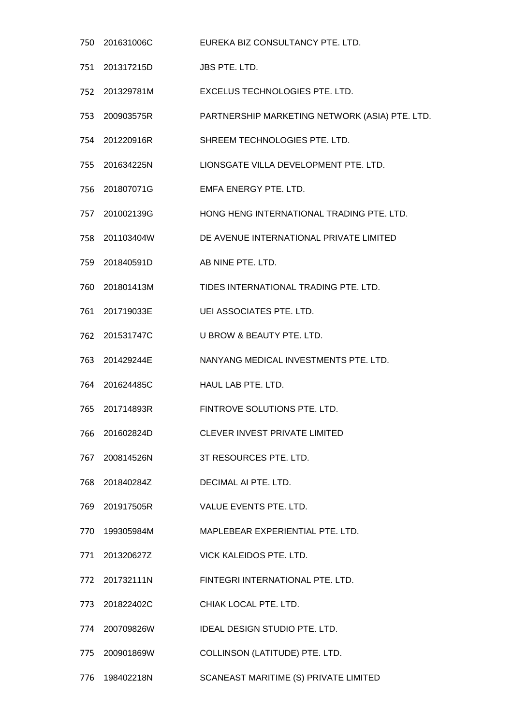- 201631006C EUREKA BIZ CONSULTANCY PTE. LTD. 201317215D JBS PTE. LTD. 201329781M EXCELUS TECHNOLOGIES PTE. LTD. 200903575R PARTNERSHIP MARKETING NETWORK (ASIA) PTE. LTD. 201220916R SHREEM TECHNOLOGIES PTE. LTD. 201634225N LIONSGATE VILLA DEVELOPMENT PTE. LTD. 201807071G EMFA ENERGY PTE. LTD. 201002139G HONG HENG INTERNATIONAL TRADING PTE. LTD. 201103404W DE AVENUE INTERNATIONAL PRIVATE LIMITED 201840591D AB NINE PTE. LTD. 201801413M TIDES INTERNATIONAL TRADING PTE. LTD. 201719033E UEI ASSOCIATES PTE. LTD. 201531747C U BROW & BEAUTY PTE. LTD. 201429244E NANYANG MEDICAL INVESTMENTS PTE. LTD. 201624485C HAUL LAB PTE. LTD. 201714893R FINTROVE SOLUTIONS PTE. LTD. 201602824D CLEVER INVEST PRIVATE LIMITED 200814526N 3T RESOURCES PTE. LTD. 201840284Z DECIMAL AI PTE. LTD. 201917505R VALUE EVENTS PTE. LTD. 199305984M MAPLEBEAR EXPERIENTIAL PTE. LTD. 201320627Z VICK KALEIDOS PTE. LTD. 201732111N FINTEGRI INTERNATIONAL PTE. LTD. 201822402C CHIAK LOCAL PTE. LTD. 200709826W IDEAL DESIGN STUDIO PTE. LTD. 200901869W COLLINSON (LATITUDE) PTE. LTD.
- 198402218N SCANEAST MARITIME (S) PRIVATE LIMITED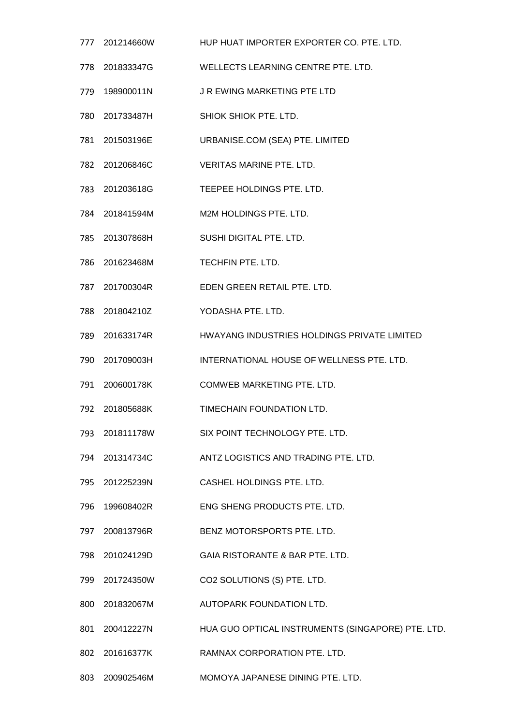|     | 777 201214660W | HUP HUAT IMPORTER EXPORTER CO. PTE. LTD.          |
|-----|----------------|---------------------------------------------------|
|     | 778 201833347G | WELLECTS LEARNING CENTRE PTE. LTD.                |
| 779 | 198900011N     | J R EWING MARKETING PTE LTD                       |
|     | 780 201733487H | SHIOK SHIOK PTE. LTD.                             |
|     | 781 201503196E | URBANISE.COM (SEA) PTE. LIMITED                   |
|     | 782 201206846C | <b>VERITAS MARINE PTE, LTD.</b>                   |
|     | 783 201203618G | TEEPEE HOLDINGS PTE. LTD.                         |
|     | 784 201841594M | M2M HOLDINGS PTE, LTD.                            |
|     | 785 201307868H | SUSHI DIGITAL PTE. LTD.                           |
| 786 | 201623468M     | TECHFIN PTE. LTD.                                 |
|     | 787 201700304R | EDEN GREEN RETAIL PTE. LTD.                       |
|     | 788 201804210Z | YODASHA PTE. LTD.                                 |
| 789 | 201633174R     | HWAYANG INDUSTRIES HOLDINGS PRIVATE LIMITED       |
| 790 | 201709003H     | INTERNATIONAL HOUSE OF WELLNESS PTE. LTD.         |
|     | 791 200600178K | <b>COMWEB MARKETING PTE, LTD.</b>                 |
| 792 | 201805688K     | TIMECHAIN FOUNDATION LTD.                         |
|     | 793 201811178W | SIX POINT TECHNOLOGY PTE. LTD.                    |
|     | 794 201314734C | ANTZ LOGISTICS AND TRADING PTE, LTD.              |
|     | 795 201225239N | CASHEL HOLDINGS PTE. LTD.                         |
|     | 796 199608402R | ENG SHENG PRODUCTS PTE. LTD.                      |
|     | 797 200813796R | BENZ MOTORSPORTS PTE. LTD.                        |
|     | 798 201024129D | GAIA RISTORANTE & BAR PTE. LTD.                   |
|     | 799 201724350W | CO2 SOLUTIONS (S) PTE. LTD.                       |
|     | 800 201832067M | AUTOPARK FOUNDATION LTD.                          |
|     | 801 200412227N | HUA GUO OPTICAL INSTRUMENTS (SINGAPORE) PTE. LTD. |
|     | 802 201616377K | RAMNAX CORPORATION PTE. LTD.                      |
|     |                |                                                   |

200902546M MOMOYA JAPANESE DINING PTE. LTD.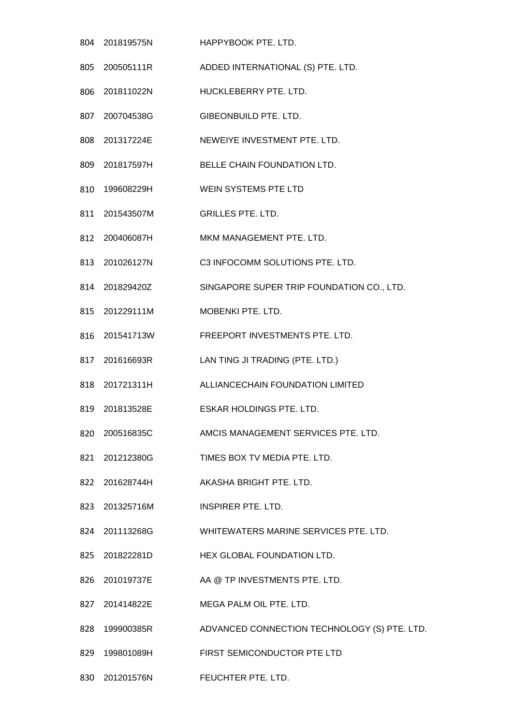201819575N HAPPYBOOK PTE. LTD. 200505111R ADDED INTERNATIONAL (S) PTE. LTD. 201811022N HUCKLEBERRY PTE. LTD. 200704538G GIBEONBUILD PTE. LTD. 201317224E NEWEIYE INVESTMENT PTE. LTD. 201817597H BELLE CHAIN FOUNDATION LTD. 199608229H WEIN SYSTEMS PTE LTD 201543507M GRILLES PTE. LTD. 200406087H MKM MANAGEMENT PTE. LTD. 201026127N C3 INFOCOMM SOLUTIONS PTE. LTD. 201829420Z SINGAPORE SUPER TRIP FOUNDATION CO., LTD. 201229111M MOBENKI PTE. LTD. 201541713W FREEPORT INVESTMENTS PTE. LTD. 201616693R LAN TING JI TRADING (PTE. LTD.) 201721311H ALLIANCECHAIN FOUNDATION LIMITED 201813528E ESKAR HOLDINGS PTE. LTD. 200516835C AMCIS MANAGEMENT SERVICES PTE. LTD. 201212380G TIMES BOX TV MEDIA PTE. LTD. 201628744H AKASHA BRIGHT PTE. LTD. 201325716M INSPIRER PTE. LTD. 201113268G WHITEWATERS MARINE SERVICES PTE. LTD. 201822281D HEX GLOBAL FOUNDATION LTD. 201019737E AA @ TP INVESTMENTS PTE. LTD. 201414822E MEGA PALM OIL PTE. LTD. 199900385R ADVANCED CONNECTION TECHNOLOGY (S) PTE. LTD. 199801089H FIRST SEMICONDUCTOR PTE LTD

201201576N FEUCHTER PTE. LTD.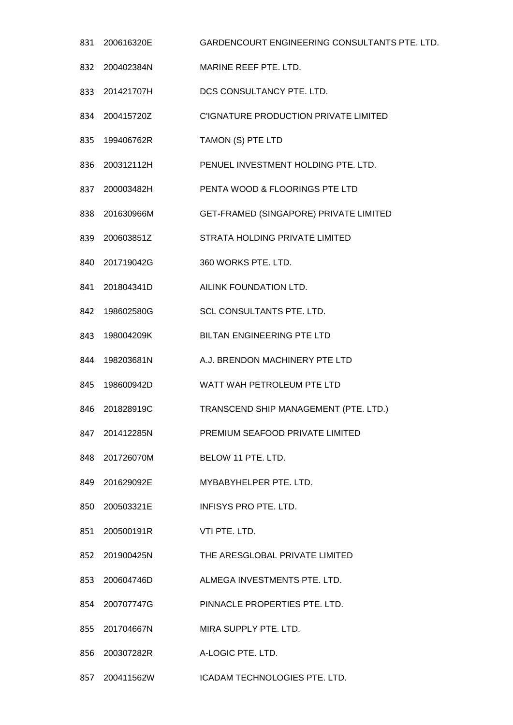- 200616320E GARDENCOURT ENGINEERING CONSULTANTS PTE. LTD. 200402384N MARINE REEF PTE. LTD. 201421707H DCS CONSULTANCY PTE. LTD. 200415720Z C'IGNATURE PRODUCTION PRIVATE LIMITED 199406762R TAMON (S) PTE LTD 200312112H PENUEL INVESTMENT HOLDING PTE. LTD. 200003482H PENTA WOOD & FLOORINGS PTE LTD 201630966M GET-FRAMED (SINGAPORE) PRIVATE LIMITED 200603851Z STRATA HOLDING PRIVATE LIMITED 201719042G 360 WORKS PTE. LTD. 201804341D AILINK FOUNDATION LTD. 198602580G SCL CONSULTANTS PTE. LTD. 198004209K BILTAN ENGINEERING PTE LTD 198203681N A.J. BRENDON MACHINERY PTE LTD 198600942D WATT WAH PETROLEUM PTE LTD 201828919C TRANSCEND SHIP MANAGEMENT (PTE. LTD.) 201412285N PREMIUM SEAFOOD PRIVATE LIMITED 201726070M BELOW 11 PTE. LTD. 201629092E MYBABYHELPER PTE. LTD. 200503321E INFISYS PRO PTE. LTD. 200500191R VTI PTE. LTD. 201900425N THE ARESGLOBAL PRIVATE LIMITED 200604746D ALMEGA INVESTMENTS PTE. LTD. 200707747G PINNACLE PROPERTIES PTE. LTD. 201704667N MIRA SUPPLY PTE. LTD. 200307282R A-LOGIC PTE. LTD.
	- 200411562W ICADAM TECHNOLOGIES PTE. LTD.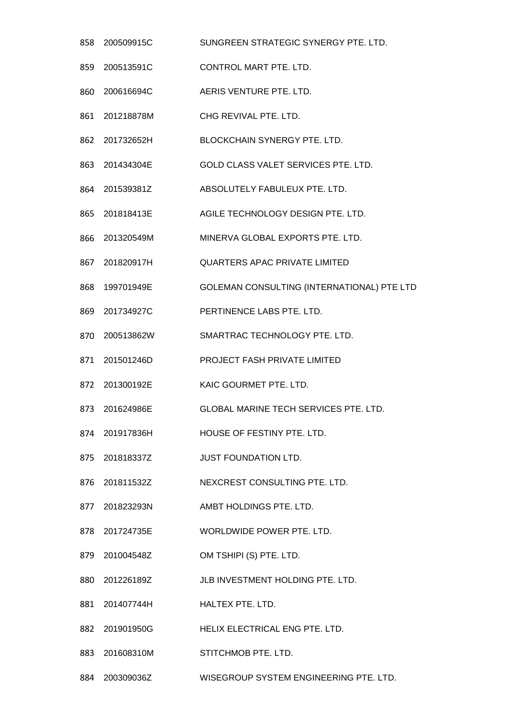- 858 200509915C SUNGREEN STRATEGIC SYNERGY PTE. LTD. 200513591C CONTROL MART PTE. LTD. 200616694C AERIS VENTURE PTE. LTD. 201218878M CHG REVIVAL PTE. LTD. 201732652H BLOCKCHAIN SYNERGY PTE. LTD. 201434304E GOLD CLASS VALET SERVICES PTE. LTD. 201539381Z ABSOLUTELY FABULEUX PTE. LTD. 201818413E AGILE TECHNOLOGY DESIGN PTE. LTD. 201320549M MINERVA GLOBAL EXPORTS PTE. LTD. 201820917H QUARTERS APAC PRIVATE LIMITED 199701949E GOLEMAN CONSULTING (INTERNATIONAL) PTE LTD 201734927C PERTINENCE LABS PTE. LTD. 200513862W SMARTRAC TECHNOLOGY PTE. LTD. 201501246D PROJECT FASH PRIVATE LIMITED 201300192E KAIC GOURMET PTE. LTD. 201624986E GLOBAL MARINE TECH SERVICES PTE. LTD. 201917836H HOUSE OF FESTINY PTE. LTD. 201818337Z JUST FOUNDATION LTD. 201811532Z NEXCREST CONSULTING PTE. LTD. 201823293N AMBT HOLDINGS PTE. LTD. 201724735E WORLDWIDE POWER PTE. LTD. 201004548Z OM TSHIPI (S) PTE. LTD. 201226189Z JLB INVESTMENT HOLDING PTE. LTD. 201407744H HALTEX PTE. LTD. 201901950G HELIX ELECTRICAL ENG PTE. LTD. 201608310M STITCHMOB PTE. LTD.
- 200309036Z WISEGROUP SYSTEM ENGINEERING PTE. LTD.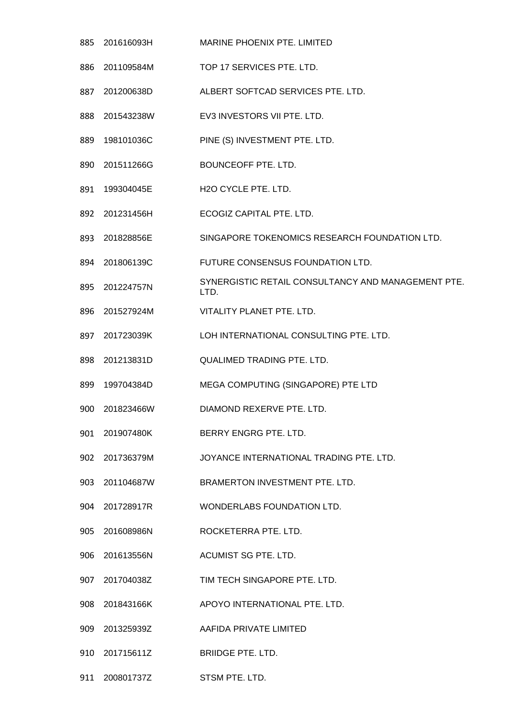201616093H MARINE PHOENIX PTE. LIMITED 201109584M TOP 17 SERVICES PTE. LTD. 201200638D ALBERT SOFTCAD SERVICES PTE. LTD. 201543238W EV3 INVESTORS VII PTE. LTD. 198101036C PINE (S) INVESTMENT PTE. LTD. 201511266G BOUNCEOFF PTE. LTD. 199304045E H2O CYCLE PTE. LTD. 201231456H ECOGIZ CAPITAL PTE. LTD. 201828856E SINGAPORE TOKENOMICS RESEARCH FOUNDATION LTD. 201806139C FUTURE CONSENSUS FOUNDATION LTD. 895 201224757N SYNERGISTIC RETAIL CONSULTANCY AND MANAGEMENT PTE. LTD. 201527924M VITALITY PLANET PTE. LTD. 201723039K LOH INTERNATIONAL CONSULTING PTE. LTD. 201213831D QUALIMED TRADING PTE. LTD. 199704384D MEGA COMPUTING (SINGAPORE) PTE LTD 201823466W DIAMOND REXERVE PTE. LTD. 201907480K BERRY ENGRG PTE. LTD. 201736379M JOYANCE INTERNATIONAL TRADING PTE. LTD. 201104687W BRAMERTON INVESTMENT PTE. LTD. 201728917R WONDERLABS FOUNDATION LTD. 201608986N ROCKETERRA PTE. LTD. 201613556N ACUMIST SG PTE. LTD. 201704038Z TIM TECH SINGAPORE PTE. LTD. 201843166K APOYO INTERNATIONAL PTE. LTD. 201325939Z AAFIDA PRIVATE LIMITED 201715611Z BRIIDGE PTE. LTD. 200801737Z STSM PTE. LTD.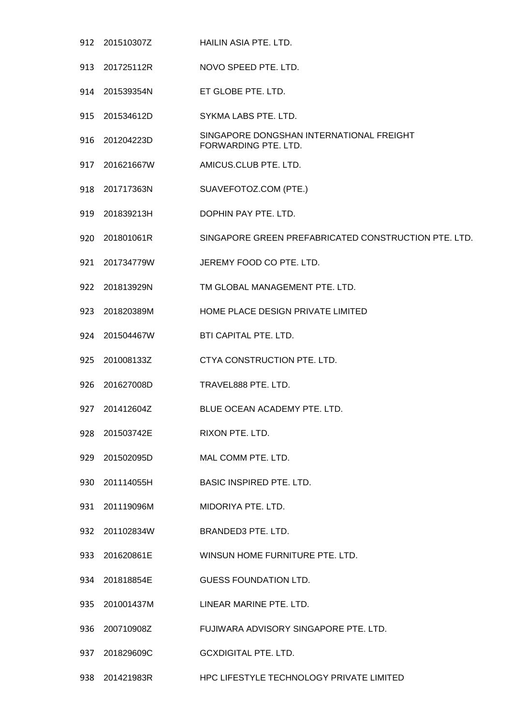- 201510307Z HAILIN ASIA PTE. LTD.
- 201725112R NOVO SPEED PTE. LTD.
- 201539354N ET GLOBE PTE. LTD.
- 201534612D SYKMA LABS PTE. LTD.
- 201204223D SINGAPORE DONGSHAN INTERNATIONAL FREIGHT FORWARDING PTE. LTD.
- 201621667W AMICUS.CLUB PTE. LTD.
- 201717363N SUAVEFOTOZ.COM (PTE.)
- 201839213H DOPHIN PAY PTE. LTD.
- 201801061R SINGAPORE GREEN PREFABRICATED CONSTRUCTION PTE. LTD.
- 201734779W JEREMY FOOD CO PTE. LTD.
- 201813929N TM GLOBAL MANAGEMENT PTE. LTD.
- 201820389M HOME PLACE DESIGN PRIVATE LIMITED
- 201504467W BTI CAPITAL PTE. LTD.
- 201008133Z CTYA CONSTRUCTION PTE. LTD.
- 201627008D TRAVEL888 PTE. LTD.
- 201412604Z BLUE OCEAN ACADEMY PTE. LTD.
- 201503742E RIXON PTE. LTD.
- 201502095D MAL COMM PTE. LTD.
- 201114055H BASIC INSPIRED PTE. LTD.
- 201119096M MIDORIYA PTE. LTD.
- 201102834W BRANDED3 PTE. LTD.
- 201620861E WINSUN HOME FURNITURE PTE. LTD.
- 201818854E GUESS FOUNDATION LTD.
- 201001437M LINEAR MARINE PTE. LTD.
- 200710908Z FUJIWARA ADVISORY SINGAPORE PTE. LTD.
- 201829609C GCXDIGITAL PTE. LTD.
- 201421983R HPC LIFESTYLE TECHNOLOGY PRIVATE LIMITED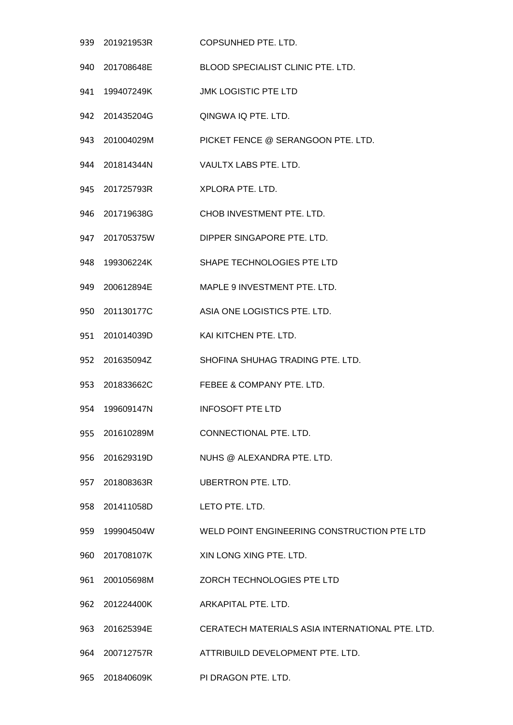| 939 | 201921953R     | COPSUNHED PTE. LTD.                             |
|-----|----------------|-------------------------------------------------|
|     | 940 201708648E | BLOOD SPECIALIST CLINIC PTE. LTD.               |
| 941 | 199407249K     | <b>JMK LOGISTIC PTE LTD</b>                     |
|     | 942 201435204G | QINGWA IQ PTE. LTD.                             |
|     | 943 201004029M | PICKET FENCE @ SERANGOON PTE. LTD.              |
|     | 944 201814344N | VAULTX LABS PTE, LTD.                           |
|     | 945 201725793R | XPLORA PTE. LTD.                                |
|     | 946 201719638G | CHOB INVESTMENT PTE. LTD.                       |
| 947 | 201705375W     | DIPPER SINGAPORE PTE. LTD.                      |
| 948 | 199306224K     | SHAPE TECHNOLOGIES PTE LTD                      |
| 949 | 200612894E     | MAPLE 9 INVESTMENT PTE, LTD.                    |
|     | 950 201130177C | ASIA ONE LOGISTICS PTE. LTD.                    |
| 951 | 201014039D     | KAI KITCHEN PTE. LTD.                           |
| 952 | 201635094Z     | SHOFINA SHUHAG TRADING PTE. LTD.                |
|     | 953 201833662C | FEBEE & COMPANY PTE, LTD.                       |
| 954 | 199609147N     | <b>INFOSOFT PTE LTD</b>                         |
|     | 955 201610289M | CONNECTIONAL PTE. LTD.                          |
| 956 | 201629319D     | NUHS @ ALEXANDRA PTE. LTD.                      |
|     | 957 201808363R | <b>UBERTRON PTE, LTD.</b>                       |
|     | 958 201411058D | LETO PTE. LTD.                                  |
| 959 | 199904504W     | WELD POINT ENGINEERING CONSTRUCTION PTE LTD     |
|     | 960 201708107K | XIN LONG XING PTE. LTD.                         |
| 961 | 200105698M     | ZORCH TECHNOLOGIES PTE LTD                      |
|     | 962 201224400K | ARKAPITAL PTE. LTD.                             |
|     | 963 201625394E | CERATECH MATERIALS ASIA INTERNATIONAL PTE. LTD. |
| 964 | 200712757R     | ATTRIBUILD DEVELOPMENT PTE. LTD.                |
| 965 | 201840609K     | PI DRAGON PTE. LTD.                             |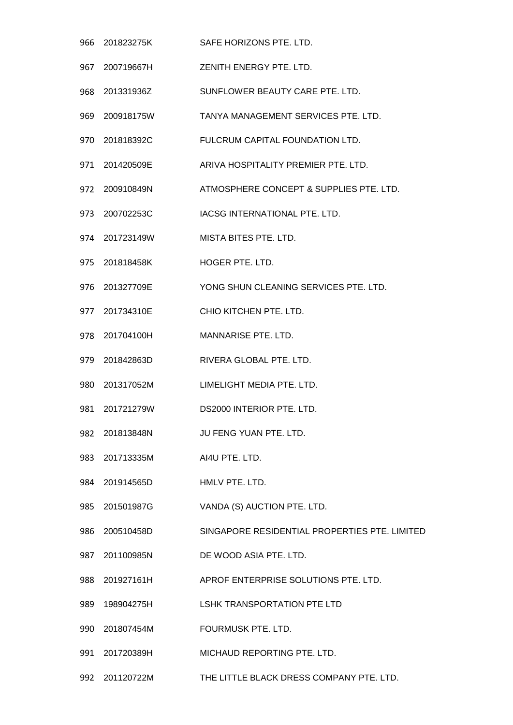201823275K SAFE HORIZONS PTE. LTD. 200719667H ZENITH ENERGY PTE. LTD. 201331936Z SUNFLOWER BEAUTY CARE PTE. LTD. 200918175W TANYA MANAGEMENT SERVICES PTE. LTD. 201818392C FULCRUM CAPITAL FOUNDATION LTD. 201420509E ARIVA HOSPITALITY PREMIER PTE. LTD. 200910849N ATMOSPHERE CONCEPT & SUPPLIES PTE. LTD. 200702253C IACSG INTERNATIONAL PTE. LTD. 201723149W MISTA BITES PTE. LTD. 201818458K HOGER PTE. LTD. 201327709E YONG SHUN CLEANING SERVICES PTE. LTD. 201734310E CHIO KITCHEN PTE. LTD. 201704100H MANNARISE PTE. LTD. 201842863D RIVERA GLOBAL PTE. LTD. 201317052M LIMELIGHT MEDIA PTE. LTD. 201721279W DS2000 INTERIOR PTE. LTD. 201813848N JU FENG YUAN PTE. LTD. 201713335M AI4U PTE. LTD. 201914565D HMLV PTE. LTD. 201501987G VANDA (S) AUCTION PTE. LTD. 200510458D SINGAPORE RESIDENTIAL PROPERTIES PTE. LIMITED 201100985N DE WOOD ASIA PTE. LTD. 201927161H APROF ENTERPRISE SOLUTIONS PTE. LTD. 198904275H LSHK TRANSPORTATION PTE LTD 201807454M FOURMUSK PTE. LTD. 201720389H MICHAUD REPORTING PTE. LTD. 201120722M THE LITTLE BLACK DRESS COMPANY PTE. LTD.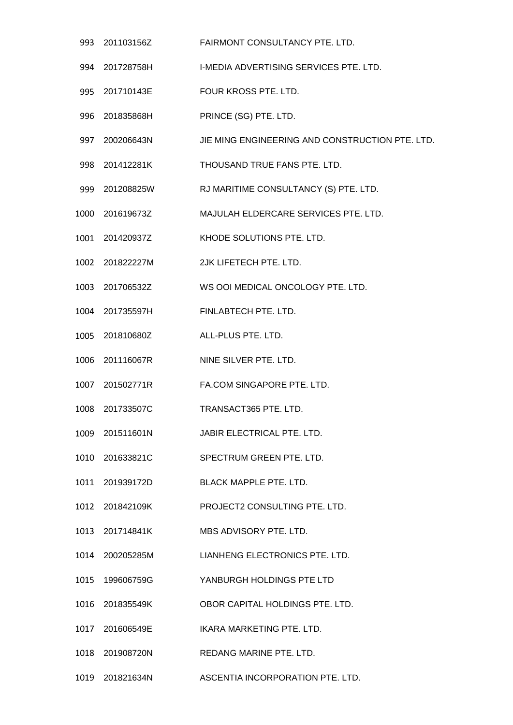- 993 201103156Z FAIRMONT CONSULTANCY PTE. LTD.
- 201728758H I-MEDIA ADVERTISING SERVICES PTE. LTD.
- 201710143E FOUR KROSS PTE. LTD.
- 201835868H PRINCE (SG) PTE. LTD.
- 200206643N JIE MING ENGINEERING AND CONSTRUCTION PTE. LTD.
- 201412281K THOUSAND TRUE FANS PTE. LTD.
- 201208825W RJ MARITIME CONSULTANCY (S) PTE. LTD.
- 201619673Z MAJULAH ELDERCARE SERVICES PTE. LTD.
- 201420937Z KHODE SOLUTIONS PTE. LTD.
- 201822227M 2JK LIFETECH PTE. LTD.
- 201706532Z WS OOI MEDICAL ONCOLOGY PTE. LTD.
- 201735597H FINLABTECH PTE. LTD.
- 201810680Z ALL-PLUS PTE. LTD.
- 201116067R NINE SILVER PTE. LTD.
- 201502771R FA.COM SINGAPORE PTE. LTD.
- 201733507C TRANSACT365 PTE. LTD.
- 201511601N JABIR ELECTRICAL PTE. LTD.
- 201633821C SPECTRUM GREEN PTE. LTD.
- 201939172D BLACK MAPPLE PTE. LTD.
- 201842109K PROJECT2 CONSULTING PTE. LTD.
- 201714841K MBS ADVISORY PTE. LTD.
- 200205285M LIANHENG ELECTRONICS PTE. LTD.
- 199606759G YANBURGH HOLDINGS PTE LTD
- 201835549K OBOR CAPITAL HOLDINGS PTE. LTD.
- 201606549E IKARA MARKETING PTE. LTD.
- 201908720N REDANG MARINE PTE. LTD.
- 201821634N ASCENTIA INCORPORATION PTE. LTD.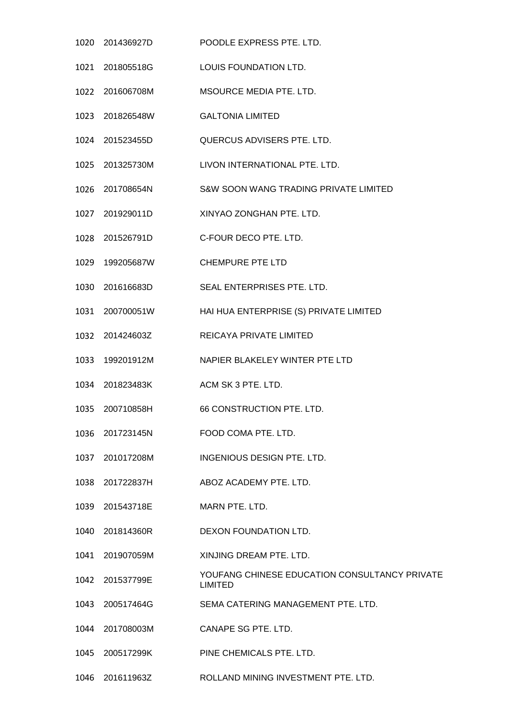|      | 1020 201436927D | POODLE EXPRESS PTE. LTD.                                        |
|------|-----------------|-----------------------------------------------------------------|
|      | 1021 201805518G | LOUIS FOUNDATION LTD.                                           |
|      | 1022 201606708M | MSOURCE MEDIA PTE. LTD.                                         |
|      | 1023 201826548W | <b>GALTONIA LIMITED</b>                                         |
|      | 1024 201523455D | QUERCUS ADVISERS PTE. LTD.                                      |
|      | 1025 201325730M | LIVON INTERNATIONAL PTE. LTD.                                   |
|      | 1026 201708654N | S&W SOON WANG TRADING PRIVATE LIMITED                           |
|      | 1027 201929011D | XINYAO ZONGHAN PTE. LTD.                                        |
|      | 1028 201526791D | C-FOUR DECO PTE. LTD.                                           |
|      | 1029 199205687W | <b>CHEMPURE PTE LTD</b>                                         |
|      | 1030 201616683D | SEAL ENTERPRISES PTE. LTD.                                      |
|      | 1031 200700051W | HAI HUA ENTERPRISE (S) PRIVATE LIMITED                          |
|      | 1032 201424603Z | REICAYA PRIVATE LIMITED                                         |
|      | 1033 199201912M | NAPIER BLAKELEY WINTER PTE LTD                                  |
|      | 1034 201823483K | ACM SK 3 PTE, LTD.                                              |
|      | 1035 200710858H | 66 CONSTRUCTION PTE, LTD.                                       |
|      | 1036 201723145N | FOOD COMA PTE. LTD.                                             |
|      | 1037 201017208M | INGENIOUS DESIGN PTE. LTD.                                      |
|      | 1038 201722837H | ABOZ ACADEMY PTE, LTD.                                          |
| 1039 | 201543718E      | MARN PTE, LTD.                                                  |
|      | 1040 201814360R | DEXON FOUNDATION LTD.                                           |
|      | 1041 201907059M | XINJING DREAM PTE. LTD.                                         |
|      | 1042 201537799E | YOUFANG CHINESE EDUCATION CONSULTANCY PRIVATE<br><b>LIMITED</b> |
|      | 1043 200517464G | SEMA CATERING MANAGEMENT PTE. LTD.                              |
|      | 1044 201708003M | CANAPE SG PTE. LTD.                                             |
|      | 1045 200517299K | PINE CHEMICALS PTE. LTD.                                        |
|      | 1046 201611963Z | ROLLAND MINING INVESTMENT PTE. LTD.                             |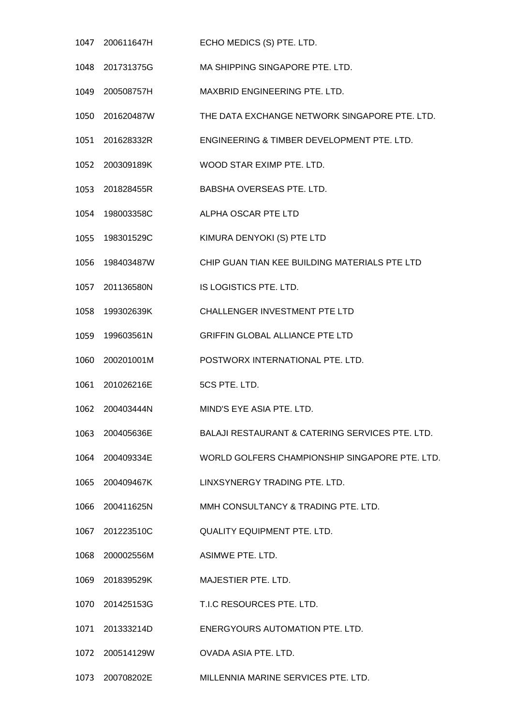- 200611647H ECHO MEDICS (S) PTE. LTD.
- 201731375G MA SHIPPING SINGAPORE PTE. LTD.
- 200508757H MAXBRID ENGINEERING PTE. LTD.
- 201620487W THE DATA EXCHANGE NETWORK SINGAPORE PTE. LTD.
- 201628332R ENGINEERING & TIMBER DEVELOPMENT PTE. LTD.
- 200309189K WOOD STAR EXIMP PTE. LTD.
- 201828455R BABSHA OVERSEAS PTE. LTD.
- 198003358C ALPHA OSCAR PTE LTD
- 198301529C KIMURA DENYOKI (S) PTE LTD
- 198403487W CHIP GUAN TIAN KEE BUILDING MATERIALS PTE LTD
- 201136580N IS LOGISTICS PTE. LTD.
- 199302639K CHALLENGER INVESTMENT PTE LTD
- 199603561N GRIFFIN GLOBAL ALLIANCE PTE LTD
- 200201001M POSTWORX INTERNATIONAL PTE. LTD.
- 1061 201026216E 5CS PTE. LTD.
- 200403444N MIND'S EYE ASIA PTE. LTD.
- 200405636E BALAJI RESTAURANT & CATERING SERVICES PTE. LTD.
- 200409334E WORLD GOLFERS CHAMPIONSHIP SINGAPORE PTE. LTD.
- 200409467K LINXSYNERGY TRADING PTE. LTD.
- 200411625N MMH CONSULTANCY & TRADING PTE. LTD.
- 201223510C QUALITY EQUIPMENT PTE. LTD.
- 200002556M ASIMWE PTE. LTD.
- 201839529K MAJESTIER PTE. LTD.
- 201425153G T.I.C RESOURCES PTE. LTD.
- 201333214D ENERGYOURS AUTOMATION PTE. LTD.
- 200514129W OVADA ASIA PTE. LTD.
- 200708202E MILLENNIA MARINE SERVICES PTE. LTD.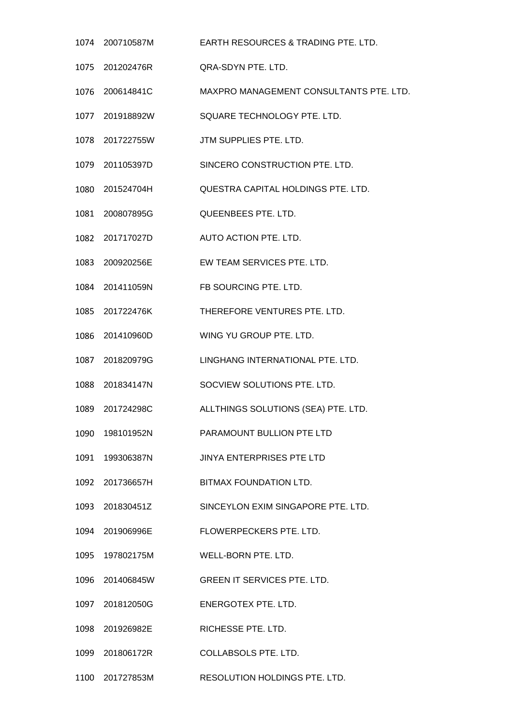200710587M EARTH RESOURCES & TRADING PTE. LTD. 201202476R QRA-SDYN PTE. LTD. 200614841C MAXPRO MANAGEMENT CONSULTANTS PTE. LTD. 201918892W SQUARE TECHNOLOGY PTE. LTD. 201722755W JTM SUPPLIES PTE. LTD. 201105397D SINCERO CONSTRUCTION PTE. LTD. 201524704H QUESTRA CAPITAL HOLDINGS PTE. LTD. 200807895G QUEENBEES PTE. LTD. 201717027D AUTO ACTION PTE. LTD. 200920256E EW TEAM SERVICES PTE. LTD. 201411059N FB SOURCING PTE. LTD. 201722476K THEREFORE VENTURES PTE. LTD. 201410960D WING YU GROUP PTE. LTD. 201820979G LINGHANG INTERNATIONAL PTE. LTD. 201834147N SOCVIEW SOLUTIONS PTE. LTD. 201724298C ALLTHINGS SOLUTIONS (SEA) PTE. LTD. 198101952N PARAMOUNT BULLION PTE LTD 199306387N JINYA ENTERPRISES PTE LTD 201736657H BITMAX FOUNDATION LTD. 201830451Z SINCEYLON EXIM SINGAPORE PTE. LTD. 201906996E FLOWERPECKERS PTE. LTD. 197802175M WELL-BORN PTE. LTD. 201406845W GREEN IT SERVICES PTE. LTD. 201812050G ENERGOTEX PTE. LTD. 201926982E RICHESSE PTE. LTD. 201806172R COLLABSOLS PTE. LTD.

201727853M RESOLUTION HOLDINGS PTE. LTD.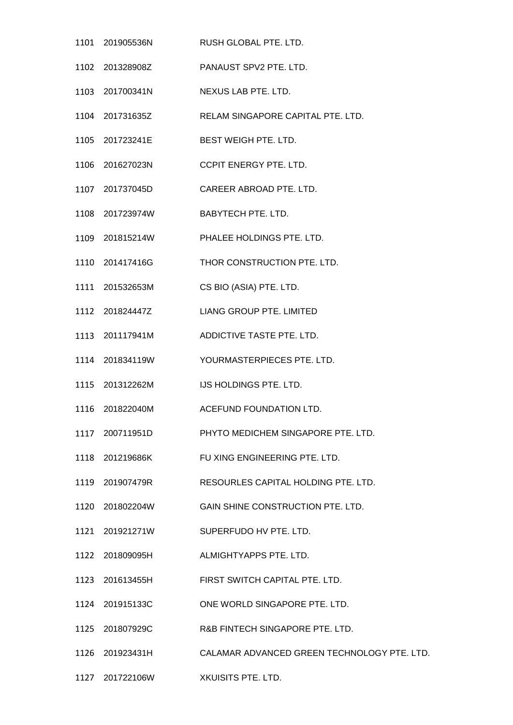|                                    | 1101  201905536N  RUSH GLOBAL PTE. LTD.                     |
|------------------------------------|-------------------------------------------------------------|
|                                    | 1102  201328908Z  PANAUST SPV2 PTE. LTD.                    |
| 1103 201700341N                    | NEXUS LAB PTE. LTD.                                         |
| 1104 201731635Z                    | RELAM SINGAPORE CAPITAL PTE. LTD.                           |
| 1105 201723241E                    | BEST WEIGH PTE. LTD.                                        |
|                                    | 1106 201627023N CCPIT ENERGY PTE. LTD.                      |
| 1107 201737045D                    | CAREER ABROAD PTE. LTD.                                     |
| 1108 201723974W BABYTECH PTE. LTD. |                                                             |
|                                    | 1109 201815214W PHALEE HOLDINGS PTE. LTD.                   |
|                                    | THOR CONSTRUCTION PTE. LTD.                                 |
| 1111 201532653M                    | CS BIO (ASIA) PTE. LTD.                                     |
|                                    | LIANG GROUP PTE. LIMITED                                    |
|                                    | ADDICTIVE TASTE PTE. LTD.                                   |
|                                    | YOURMASTERPIECES PTE. LTD.                                  |
|                                    | IJS HOLDINGS PTE. LTD.                                      |
|                                    | 1116 201822040M ACEFUND FOUNDATION LTD.                     |
| 1117 200711951D                    | PHYTO MEDICHEM SINGAPORE PTE, LTD.                          |
|                                    | 1118 201219686K FU XING ENGINEERING PTE. LTD.               |
| 1119 201907479R                    | RESOURLES CAPITAL HOLDING PTE. LTD.                         |
|                                    | GAIN SHINE CONSTRUCTION PTE. LTD.                           |
|                                    | SUPERFUDO HV PTE. LTD.                                      |
| 1122 201809095H                    | ALMIGHTYAPPS PTE. LTD.                                      |
| 1123 201613455H                    | FIRST SWITCH CAPITAL PTE. LTD.                              |
| 1124 201915133C                    | ONE WORLD SINGAPORE PTE. LTD.                               |
| 1125 201807929C                    | R&B FINTECH SINGAPORE PTE. LTD.                             |
|                                    | 1126 201923431H CALAMAR ADVANCED GREEN TECHNOLOGY PTE. LTD. |

201722106W XKUISITS PTE. LTD.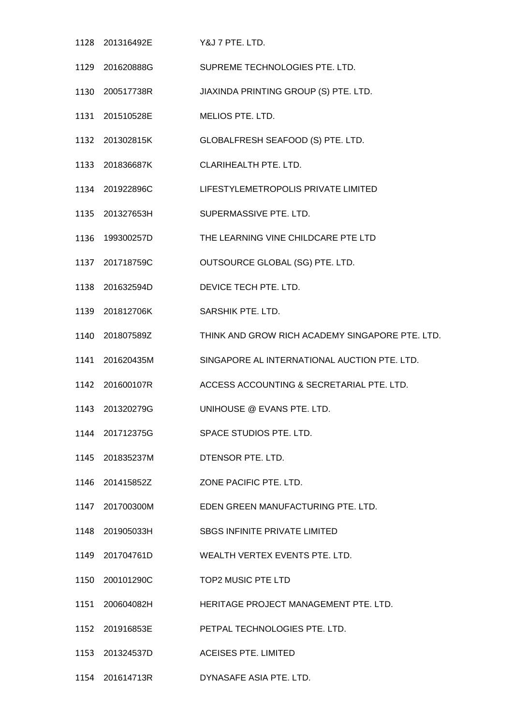201316492E Y&J 7 PTE. LTD. 201620888G SUPREME TECHNOLOGIES PTE. LTD. 200517738R JIAXINDA PRINTING GROUP (S) PTE. LTD. 201510528E MELIOS PTE. LTD. 201302815K GLOBALFRESH SEAFOOD (S) PTE. LTD. 201836687K CLARIHEALTH PTE. LTD. 201922896C LIFESTYLEMETROPOLIS PRIVATE LIMITED 201327653H SUPERMASSIVE PTE. LTD. 199300257D THE LEARNING VINE CHILDCARE PTE LTD 201718759C OUTSOURCE GLOBAL (SG) PTE. LTD. 201632594D DEVICE TECH PTE. LTD. 201812706K SARSHIK PTE. LTD. 201807589Z THINK AND GROW RICH ACADEMY SINGAPORE PTE. LTD. 201620435M SINGAPORE AL INTERNATIONAL AUCTION PTE. LTD. 201600107R ACCESS ACCOUNTING & SECRETARIAL PTE. LTD. 201320279G UNIHOUSE @ EVANS PTE. LTD. 201712375G SPACE STUDIOS PTE. LTD. 201835237M DTENSOR PTE. LTD. 201415852Z ZONE PACIFIC PTE. LTD. 201700300M EDEN GREEN MANUFACTURING PTE. LTD. 201905033H SBGS INFINITE PRIVATE LIMITED 201704761D WEALTH VERTEX EVENTS PTE. LTD. 200101290C TOP2 MUSIC PTE LTD 200604082H HERITAGE PROJECT MANAGEMENT PTE. LTD. 201916853E PETPAL TECHNOLOGIES PTE. LTD. 201324537D ACEISES PTE. LIMITED 201614713R DYNASAFE ASIA PTE. LTD.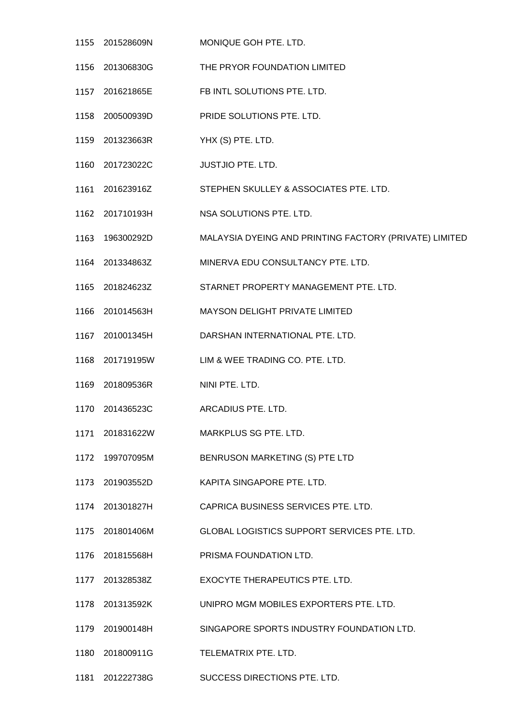- 201528609N MONIQUE GOH PTE. LTD. 201306830G THE PRYOR FOUNDATION LIMITED 201621865E FB INTL SOLUTIONS PTE. LTD. 200500939D PRIDE SOLUTIONS PTE. LTD. 201323663R YHX (S) PTE. LTD. 201723022C JUSTJIO PTE. LTD. 201623916Z STEPHEN SKULLEY & ASSOCIATES PTE. LTD. 201710193H NSA SOLUTIONS PTE. LTD. 196300292D MALAYSIA DYEING AND PRINTING FACTORY (PRIVATE) LIMITED 201334863Z MINERVA EDU CONSULTANCY PTE. LTD. 201824623Z STARNET PROPERTY MANAGEMENT PTE. LTD. 201014563H MAYSON DELIGHT PRIVATE LIMITED 201001345H DARSHAN INTERNATIONAL PTE. LTD. 201719195W LIM & WEE TRADING CO. PTE. LTD. 201809536R NINI PTE. LTD. 201436523C ARCADIUS PTE. LTD. 201831622W MARKPLUS SG PTE. LTD. 199707095M BENRUSON MARKETING (S) PTE LTD 201903552D KAPITA SINGAPORE PTE. LTD. 201301827H CAPRICA BUSINESS SERVICES PTE. LTD. 201801406M GLOBAL LOGISTICS SUPPORT SERVICES PTE. LTD. 201815568H PRISMA FOUNDATION LTD. 201328538Z EXOCYTE THERAPEUTICS PTE. LTD. 201313592K UNIPRO MGM MOBILES EXPORTERS PTE. LTD. 201900148H SINGAPORE SPORTS INDUSTRY FOUNDATION LTD. 201800911G TELEMATRIX PTE. LTD.
- 201222738G SUCCESS DIRECTIONS PTE. LTD.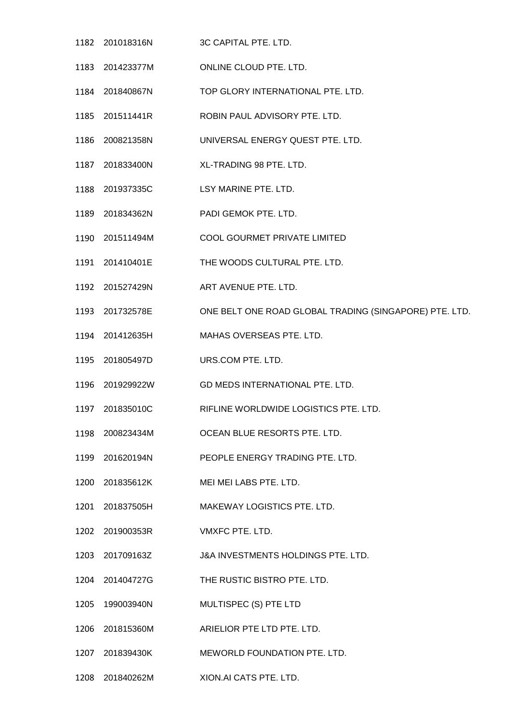201018316N 3C CAPITAL PTE. LTD. 201423377M ONLINE CLOUD PTE. LTD. 201840867N TOP GLORY INTERNATIONAL PTE. LTD. 201511441R ROBIN PAUL ADVISORY PTE. LTD. 200821358N UNIVERSAL ENERGY QUEST PTE. LTD. 201833400N XL-TRADING 98 PTE. LTD. 201937335C LSY MARINE PTE. LTD. 201834362N PADI GEMOK PTE. LTD. 201511494M COOL GOURMET PRIVATE LIMITED 201410401E THE WOODS CULTURAL PTE. LTD. 201527429N ART AVENUE PTE. LTD. 201732578E ONE BELT ONE ROAD GLOBAL TRADING (SINGAPORE) PTE. LTD. 201412635H MAHAS OVERSEAS PTE. LTD. 201805497D URS.COM PTE. LTD. 201929922W GD MEDS INTERNATIONAL PTE. LTD. 201835010C RIFLINE WORLDWIDE LOGISTICS PTE. LTD. 200823434M OCEAN BLUE RESORTS PTE. LTD. 201620194N PEOPLE ENERGY TRADING PTE. LTD. 201835612K MEI MEI LABS PTE. LTD. 201837505H MAKEWAY LOGISTICS PTE. LTD. 201900353R VMXFC PTE. LTD. 201709163Z J&A INVESTMENTS HOLDINGS PTE. LTD. 201404727G THE RUSTIC BISTRO PTE. LTD. 199003940N MULTISPEC (S) PTE LTD 201815360M ARIELIOR PTE LTD PTE. LTD. 201839430K MEWORLD FOUNDATION PTE. LTD. 201840262M XION.AI CATS PTE. LTD.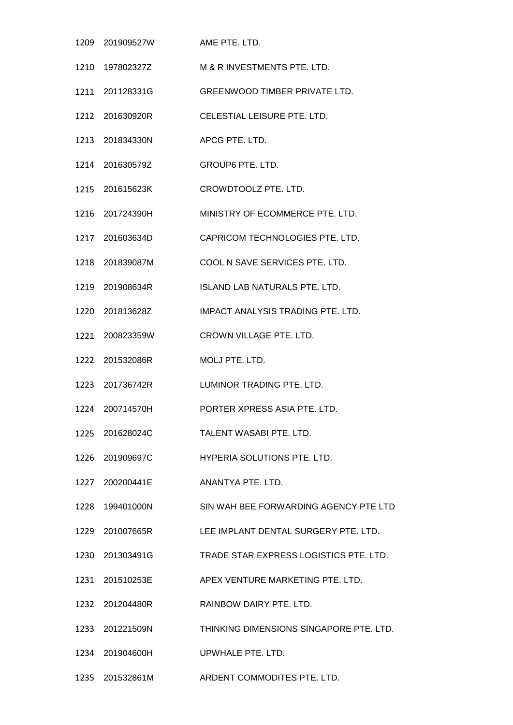|      | 1209 201909527W | AME PTE. LTD.                                        |
|------|-----------------|------------------------------------------------------|
|      | 1210 197802327Z | M & R INVESTMENTS PTE, LTD.                          |
|      | 1211 201128331G | <b>GREENWOOD TIMBER PRIVATE LTD.</b>                 |
|      | 1212 201630920R | CELESTIAL LEISURE PTE. LTD.                          |
|      | 1213 201834330N | APCG PTE, LTD.                                       |
|      |                 | <b>GROUP6 PTE. LTD.</b>                              |
|      | 1215 201615623K | CROWDTOOLZ PTE. LTD.                                 |
|      | 1216 201724390H | MINISTRY OF ECOMMERCE PTE. LTD.                      |
|      | 1217 201603634D | CAPRICOM TECHNOLOGIES PTE. LTD.                      |
|      | 1218 201839087M | COOL N SAVE SERVICES PTE. LTD.                       |
|      | 1219 201908634R | ISLAND LAB NATURALS PTE. LTD.                        |
|      | 1220 201813628Z | IMPACT ANALYSIS TRADING PTE. LTD.                    |
| 1221 | 200823359W      | CROWN VILLAGE PTE. LTD.                              |
|      | 1222 201532086R | MOLJ PTE. LTD.                                       |
|      | 1223 201736742R | LUMINOR TRADING PTE. LTD.                            |
|      | 1224 200714570H | PORTER XPRESS ASIA PTE. LTD.                         |
|      | 1225 201628024C | TALENT WASABI PTE, LTD.                              |
|      | 1226 201909697C | HYPERIA SOLUTIONS PTE. LTD.                          |
|      | 1227 200200441E | ANANTYA PTE. LTD.                                    |
|      | 1228 199401000N | SIN WAH BEE FORWARDING AGENCY PTE LTD                |
|      |                 | 1229 201007665R LEE IMPLANT DENTAL SURGERY PTE. LTD. |
|      | 1230 201303491G | TRADE STAR EXPRESS LOGISTICS PTE. LTD.               |
|      | 1231 201510253E | APEX VENTURE MARKETING PTE. LTD.                     |
|      | 1232 201204480R | RAINBOW DAIRY PTE. LTD.                              |
|      | 1233 201221509N | THINKING DIMENSIONS SINGAPORE PTE. LTD.              |
|      | 1234 201904600H | UPWHALE PTE. LTD.                                    |
|      |                 | 1235 201532861M ARDENT COMMODITES PTE. LTD.          |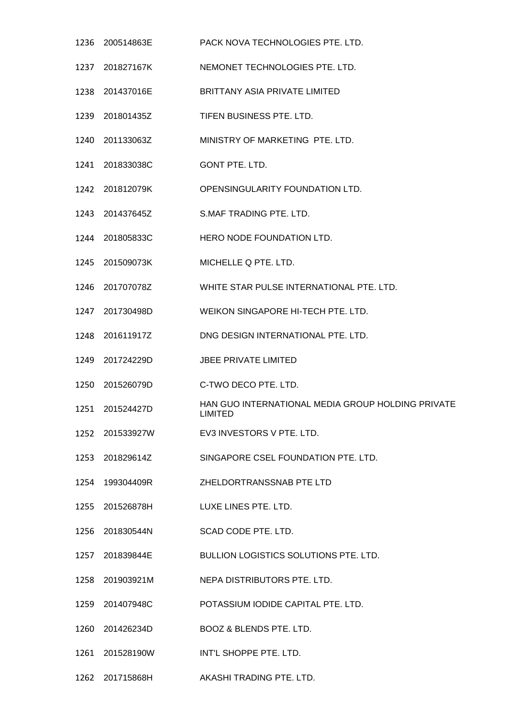200514863E PACK NOVA TECHNOLOGIES PTE. LTD. 201827167K NEMONET TECHNOLOGIES PTE. LTD. 201437016E BRITTANY ASIA PRIVATE LIMITED 201801435Z TIFEN BUSINESS PTE. LTD. 201133063Z MINISTRY OF MARKETING PTE. LTD. 201833038C GONT PTE. LTD. 201812079K OPENSINGULARITY FOUNDATION LTD. 201437645Z S.MAF TRADING PTE. LTD. 201805833C HERO NODE FOUNDATION LTD. 201509073K MICHELLE Q PTE. LTD. 201707078Z WHITE STAR PULSE INTERNATIONAL PTE. LTD. 201730498D WEIKON SINGAPORE HI-TECH PTE. LTD. 201611917Z DNG DESIGN INTERNATIONAL PTE. LTD. 201724229D JBEE PRIVATE LIMITED 201526079D C-TWO DECO PTE. LTD. 201524427D HAN GUO INTERNATIONAL MEDIA GROUP HOLDING PRIVATE LIMITED 201533927W EV3 INVESTORS V PTE. LTD. 201829614Z SINGAPORE CSEL FOUNDATION PTE. LTD. 199304409R ZHELDORTRANSSNAB PTE LTD 201526878H LUXE LINES PTE. LTD. 201830544N SCAD CODE PTE. LTD. 201839844E BULLION LOGISTICS SOLUTIONS PTE. LTD. 201903921M NEPA DISTRIBUTORS PTE. LTD. 201407948C POTASSIUM IODIDE CAPITAL PTE. LTD. 201426234D BOOZ & BLENDS PTE. LTD. 201528190W INT'L SHOPPE PTE. LTD. 201715868H AKASHI TRADING PTE. LTD.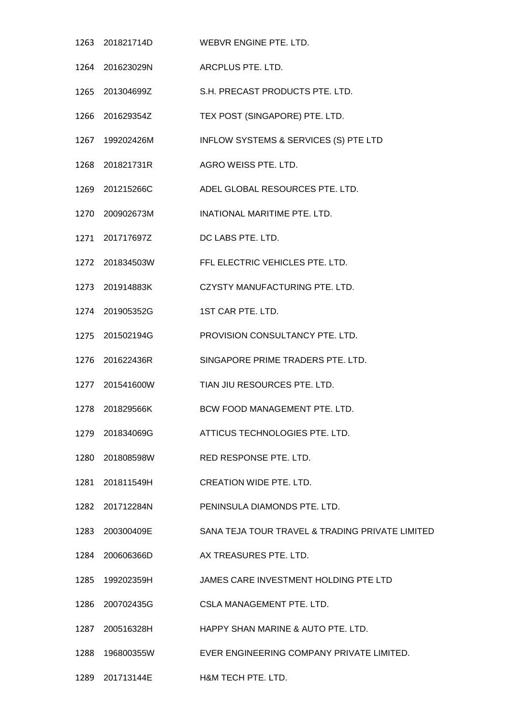- 201821714D WEBVR ENGINE PTE. LTD. 201623029N ARCPLUS PTE. LTD. 201304699Z S.H. PRECAST PRODUCTS PTE. LTD. 201629354Z TEX POST (SINGAPORE) PTE. LTD. 199202426M INFLOW SYSTEMS & SERVICES (S) PTE LTD 201821731R AGRO WEISS PTE. LTD. 201215266C ADEL GLOBAL RESOURCES PTE. LTD. 200902673M INATIONAL MARITIME PTE. LTD. 201717697Z DC LABS PTE. LTD. 201834503W FFL ELECTRIC VEHICLES PTE. LTD. 201914883K CZYSTY MANUFACTURING PTE. LTD. 201905352G 1ST CAR PTE. LTD. 201502194G PROVISION CONSULTANCY PTE. LTD. 201622436R SINGAPORE PRIME TRADERS PTE. LTD. 201541600W TIAN JIU RESOURCES PTE. LTD. 201829566K BCW FOOD MANAGEMENT PTE. LTD. 201834069G ATTICUS TECHNOLOGIES PTE. LTD. 201808598W RED RESPONSE PTE. LTD. 201811549H CREATION WIDE PTE. LTD. 201712284N PENINSULA DIAMONDS PTE. LTD. 200300409E SANA TEJA TOUR TRAVEL & TRADING PRIVATE LIMITED 200606366D AX TREASURES PTE. LTD. 199202359H JAMES CARE INVESTMENT HOLDING PTE LTD 200702435G CSLA MANAGEMENT PTE. LTD. 200516328H HAPPY SHAN MARINE & AUTO PTE. LTD. 196800355W EVER ENGINEERING COMPANY PRIVATE LIMITED.
- 201713144E H&M TECH PTE. LTD.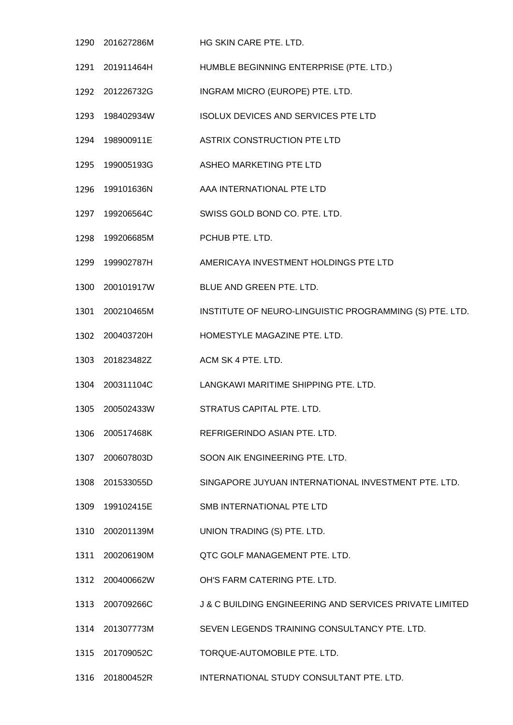201627286M HG SKIN CARE PTE. LTD. 201911464H HUMBLE BEGINNING ENTERPRISE (PTE. LTD.) 201226732G INGRAM MICRO (EUROPE) PTE. LTD. 198402934W ISOLUX DEVICES AND SERVICES PTE LTD 198900911E ASTRIX CONSTRUCTION PTE LTD 199005193G ASHEO MARKETING PTE LTD 199101636N AAA INTERNATIONAL PTE LTD 199206564C SWISS GOLD BOND CO. PTE. LTD. 199206685M PCHUB PTE. LTD. 199902787H AMERICAYA INVESTMENT HOLDINGS PTE LTD 200101917W BLUE AND GREEN PTE. LTD. 200210465M INSTITUTE OF NEURO-LINGUISTIC PROGRAMMING (S) PTE. LTD. 200403720H HOMESTYLE MAGAZINE PTE. LTD. 201823482Z ACM SK 4 PTE. LTD. 200311104C LANGKAWI MARITIME SHIPPING PTE. LTD. 200502433W STRATUS CAPITAL PTE. LTD. 200517468K REFRIGERINDO ASIAN PTE. LTD. 200607803D SOON AIK ENGINEERING PTE. LTD. 201533055D SINGAPORE JUYUAN INTERNATIONAL INVESTMENT PTE. LTD. 199102415E SMB INTERNATIONAL PTE LTD 200201139M UNION TRADING (S) PTE. LTD. 200206190M QTC GOLF MANAGEMENT PTE. LTD. 200400662W OH'S FARM CATERING PTE. LTD. 200709266C J & C BUILDING ENGINEERING AND SERVICES PRIVATE LIMITED 201307773M SEVEN LEGENDS TRAINING CONSULTANCY PTE. LTD. 201709052C TORQUE-AUTOMOBILE PTE. LTD. 201800452R INTERNATIONAL STUDY CONSULTANT PTE. LTD.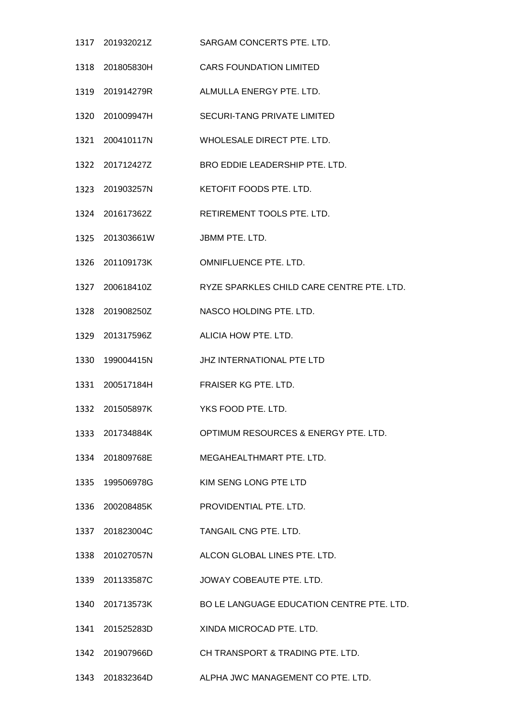| 1317 | 201932021Z      | SARGAM CONCERTS PTE, LTD.                 |
|------|-----------------|-------------------------------------------|
|      | 1318 201805830H | <b>CARS FOUNDATION LIMITED</b>            |
|      | 1319 201914279R | ALMULLA ENERGY PTE. LTD.                  |
|      | 1320 201009947H | <b>SECURI-TANG PRIVATE LIMITED</b>        |
|      | 1321 200410117N | WHOLESALE DIRECT PTE. LTD.                |
|      | 1322 201712427Z | BRO EDDIE LEADERSHIP PTE. LTD.            |
|      | 1323 201903257N | KETOFIT FOODS PTE. LTD.                   |
|      | 1324 201617362Z | RETIREMENT TOOLS PTE. LTD.                |
|      | 1325 201303661W | JBMM PTE, LTD.                            |
|      | 1326 201109173K | OMNIFLUENCE PTE. LTD.                     |
|      | 1327 200618410Z | RYZE SPARKLES CHILD CARE CENTRE PTE. LTD. |
|      | 1328 201908250Z | NASCO HOLDING PTE. LTD.                   |
|      | 1329 201317596Z | ALICIA HOW PTE, LTD.                      |
| 1330 | 199004415N      | JHZ INTERNATIONAL PTE LTD                 |
|      | 1331 200517184H | FRAISER KG PTE. LTD.                      |
|      | 1332 201505897K | YKS FOOD PTE. LTD.                        |
|      | 1333 201734884K | OPTIMUM RESOURCES & ENERGY PTE. LTD.      |
|      | 1334 201809768E | MEGAHEALTHMART PTE, LTD.                  |
|      | 1335 199506978G | KIM SENG LONG PTE LTD                     |
|      | 1336 200208485K | PROVIDENTIAL PTE. LTD.                    |
|      | 1337 201823004C | TANGAIL CNG PTE. LTD.                     |
|      | 1338 201027057N | ALCON GLOBAL LINES PTE. LTD.              |
|      | 1339 201133587C | JOWAY COBEAUTE PTE. LTD.                  |
|      | 1340 201713573K | BO LE LANGUAGE EDUCATION CENTRE PTE. LTD. |
|      | 1341 201525283D | XINDA MICROCAD PTE. LTD.                  |
|      | 1342 201907966D | CH TRANSPORT & TRADING PTE, LTD.          |
|      | 1343 201832364D | ALPHA JWC MANAGEMENT CO PTE. LTD.         |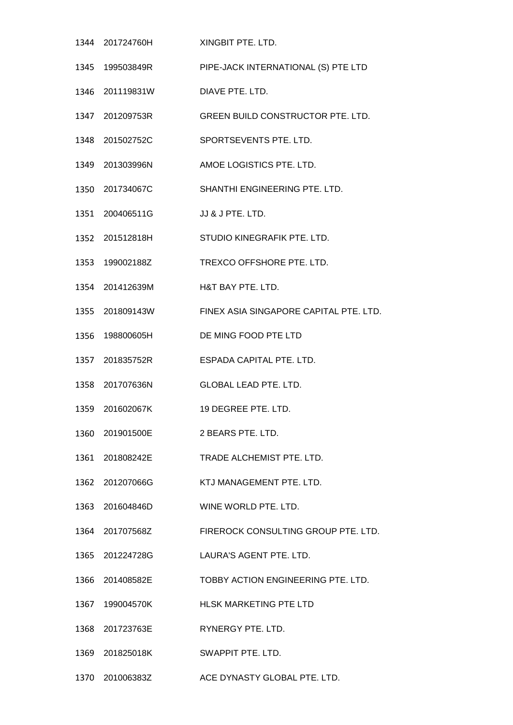- 201724760H XINGBIT PTE. LTD. 199503849R PIPE-JACK INTERNATIONAL (S) PTE LTD 201119831W DIAVE PTE. LTD. 201209753R GREEN BUILD CONSTRUCTOR PTE. LTD. 201502752C SPORTSEVENTS PTE. LTD. 201303996N AMOE LOGISTICS PTE. LTD. 201734067C SHANTHI ENGINEERING PTE. LTD. 1351 200406511G JJ & J PTE. LTD. 201512818H STUDIO KINEGRAFIK PTE. LTD. 199002188Z TREXCO OFFSHORE PTE. LTD. 201412639M H&T BAY PTE. LTD. 201809143W FINEX ASIA SINGAPORE CAPITAL PTE. LTD. 198800605H DE MING FOOD PTE LTD 201835752R ESPADA CAPITAL PTE. LTD. 201707636N GLOBAL LEAD PTE. LTD. 201602067K 19 DEGREE PTE. LTD. 201901500E 2 BEARS PTE. LTD. 201808242E TRADE ALCHEMIST PTE. LTD. 201207066G KTJ MANAGEMENT PTE. LTD. 201604846D WINE WORLD PTE. LTD. 201707568Z FIREROCK CONSULTING GROUP PTE. LTD. 201224728G LAURA'S AGENT PTE. LTD. 201408582E TOBBY ACTION ENGINEERING PTE. LTD. 199004570K HLSK MARKETING PTE LTD 201723763E RYNERGY PTE. LTD. 201825018K SWAPPIT PTE. LTD.
- 201006383Z ACE DYNASTY GLOBAL PTE. LTD.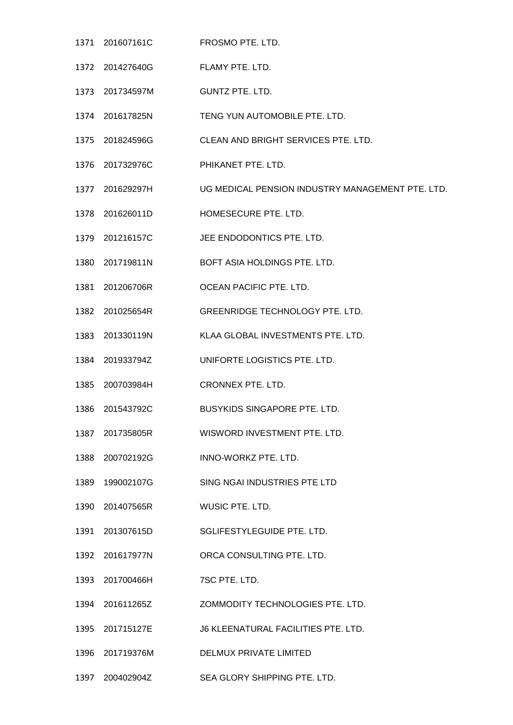- 201607161C FROSMO PTE. LTD. 201427640G FLAMY PTE. LTD. 201734597M GUNTZ PTE. LTD. 201617825N TENG YUN AUTOMOBILE PTE. LTD. 201824596G CLEAN AND BRIGHT SERVICES PTE. LTD. 201732976C PHIKANET PTE. LTD. 201629297H UG MEDICAL PENSION INDUSTRY MANAGEMENT PTE. LTD. 201626011D HOMESECURE PTE. LTD. 201216157C JEE ENDODONTICS PTE. LTD. 201719811N BOFT ASIA HOLDINGS PTE. LTD. 201206706R OCEAN PACIFIC PTE. LTD. 201025654R GREENRIDGE TECHNOLOGY PTE. LTD. 201330119N KLAA GLOBAL INVESTMENTS PTE. LTD. 201933794Z UNIFORTE LOGISTICS PTE. LTD. 200703984H CRONNEX PTE. LTD. 201543792C BUSYKIDS SINGAPORE PTE. LTD. 201735805R WISWORD INVESTMENT PTE. LTD. 200702192G INNO-WORKZ PTE. LTD. 199002107G SING NGAI INDUSTRIES PTE LTD 201407565R WUSIC PTE. LTD. 201307615D SGLIFESTYLEGUIDE PTE. LTD. 201617977N ORCA CONSULTING PTE. LTD. 201700466H 7SC PTE. LTD. 201611265Z ZOMMODITY TECHNOLOGIES PTE. LTD. 201715127E J6 KLEENATURAL FACILITIES PTE. LTD. 201719376M DELMUX PRIVATE LIMITED
- 200402904Z SEA GLORY SHIPPING PTE. LTD.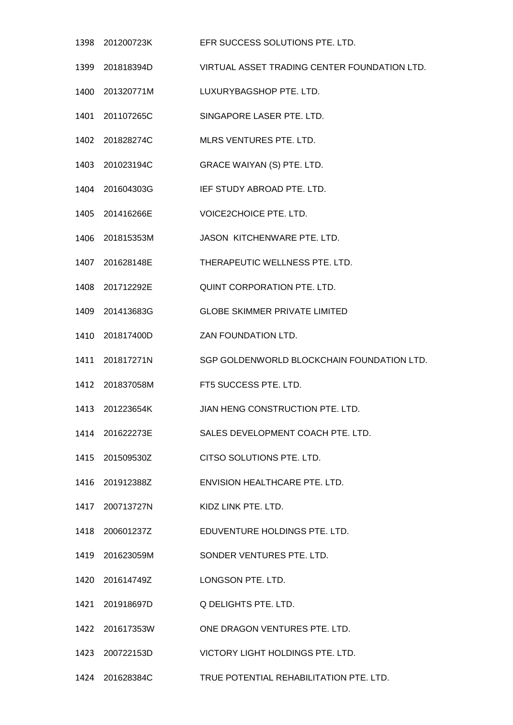- 201200723K EFR SUCCESS SOLUTIONS PTE. LTD. 201818394D VIRTUAL ASSET TRADING CENTER FOUNDATION LTD. 201320771M LUXURYBAGSHOP PTE. LTD. 201107265C SINGAPORE LASER PTE. LTD. 201828274C MLRS VENTURES PTE. LTD. 201023194C GRACE WAIYAN (S) PTE. LTD. 201604303G IEF STUDY ABROAD PTE. LTD. 201416266E VOICE2CHOICE PTE. LTD. 201815353M JASON KITCHENWARE PTE. LTD. 201628148E THERAPEUTIC WELLNESS PTE. LTD. 201712292E QUINT CORPORATION PTE. LTD. 201413683G GLOBE SKIMMER PRIVATE LIMITED 201817400D ZAN FOUNDATION LTD. 201817271N SGP GOLDENWORLD BLOCKCHAIN FOUNDATION LTD. 201837058M FT5 SUCCESS PTE. LTD. 201223654K JIAN HENG CONSTRUCTION PTE. LTD. 201622273E SALES DEVELOPMENT COACH PTE. LTD. 201509530Z CITSO SOLUTIONS PTE. LTD. 201912388Z ENVISION HEALTHCARE PTE. LTD. 200713727N KIDZ LINK PTE. LTD. 200601237Z EDUVENTURE HOLDINGS PTE. LTD. 201623059M SONDER VENTURES PTE. LTD. 201614749Z LONGSON PTE. LTD. 201918697D Q DELIGHTS PTE. LTD. 201617353W ONE DRAGON VENTURES PTE. LTD. 200722153D VICTORY LIGHT HOLDINGS PTE. LTD.
- 201628384C TRUE POTENTIAL REHABILITATION PTE. LTD.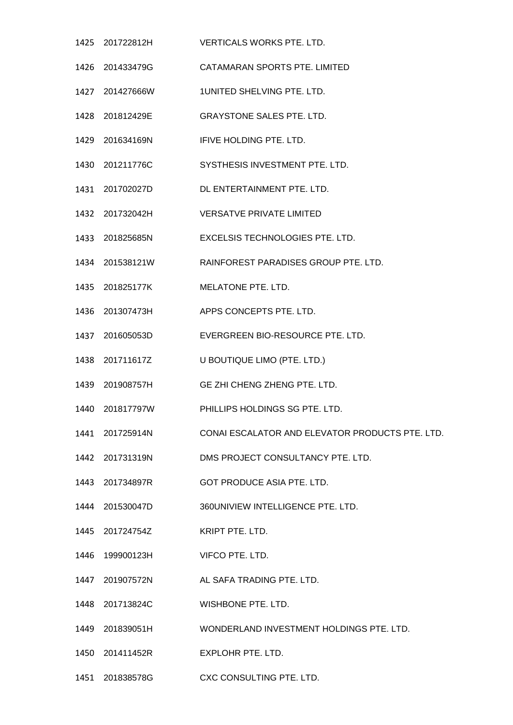| 1425 201722812H                 | <b>VERTICALS WORKS PTE, LTD.</b>                             |
|---------------------------------|--------------------------------------------------------------|
| 1426 201433479G                 | CATAMARAN SPORTS PTE. LIMITED                                |
| 1427 201427666W                 | 1UNITED SHELVING PTE, LTD.                                   |
| 1428 201812429E                 | <b>GRAYSTONE SALES PTE. LTD.</b>                             |
| 1429 201634169N                 | IFIVE HOLDING PTE. LTD.                                      |
| 1430 201211776C                 | SYSTHESIS INVESTMENT PTE. LTD.                               |
| 1431 201702027D                 | DL ENTERTAINMENT PTE. LTD.                                   |
| 1432 201732042H                 | <b>VERSATVE PRIVATE LIMITED</b>                              |
| 1433 201825685N                 | <b>EXCELSIS TECHNOLOGIES PTE, LTD.</b>                       |
|                                 | RAINFOREST PARADISES GROUP PTE, LTD.                         |
| 1435 201825177K                 | MELATONE PTE. LTD.                                           |
| 1436 201307473H                 | APPS CONCEPTS PTE. LTD.                                      |
| 1437 201605053D                 | EVERGREEN BIO-RESOURCE PTE. LTD.                             |
| 1438 201711617Z                 | U BOUTIQUE LIMO (PTE. LTD.)                                  |
| 1439 201908757H                 | GE ZHI CHENG ZHENG PTE. LTD.                                 |
| 1440 201817797W                 | PHILLIPS HOLDINGS SG PTE, LTD.                               |
| 1441 201725914N                 | CONAI ESCALATOR AND ELEVATOR PRODUCTS PTE. LTD.              |
| 1442 201731319N                 | DMS PROJECT CONSULTANCY PTE. LTD.                            |
| 1443 201734897R                 | GOT PRODUCE ASIA PTE. LTD.                                   |
| 1444 201530047D                 | 360UNIVIEW INTELLIGENCE PTE. LTD.                            |
| 1445 201724754Z                 | KRIPT PTE, LTD.                                              |
| 1446 199900123H VIFCO PTE. LTD. |                                                              |
| 1447 201907572N                 | AL SAFA TRADING PTE. LTD.                                    |
| 1448 201713824C                 | WISHBONE PTE. LTD.                                           |
|                                 | 1449  201839051H    WONDERLAND INVESTMENT HOLDINGS PTE. LTD. |
| 1450 201411452R                 | EXPLOHR PTE. LTD.                                            |
| 1451 201838578G                 | CXC CONSULTING PTE. LTD.                                     |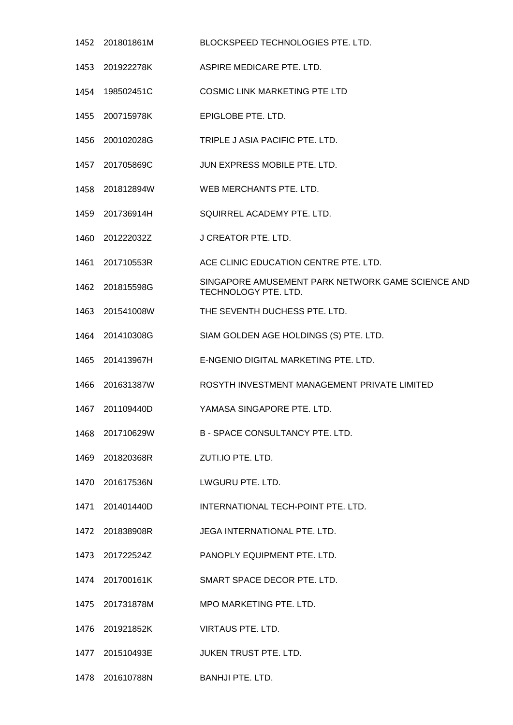201801861M BLOCKSPEED TECHNOLOGIES PTE. LTD. 201922278K ASPIRE MEDICARE PTE. LTD. 198502451C COSMIC LINK MARKETING PTE LTD 200715978K EPIGLOBE PTE. LTD. 200102028G TRIPLE J ASIA PACIFIC PTE. LTD. 201705869C JUN EXPRESS MOBILE PTE. LTD. 201812894W WEB MERCHANTS PTE. LTD. 201736914H SQUIRREL ACADEMY PTE. LTD. 201222032Z J CREATOR PTE. LTD. 201710553R ACE CLINIC EDUCATION CENTRE PTE. LTD. 1462 201815598G SINGAPORE AMUSEMENT PARK NETWORK GAME SCIENCE AND TECHNOLOGY PTE. LTD. 201541008W THE SEVENTH DUCHESS PTE. LTD. 201410308G SIAM GOLDEN AGE HOLDINGS (S) PTE. LTD. 201413967H E-NGENIO DIGITAL MARKETING PTE. LTD. 201631387W ROSYTH INVESTMENT MANAGEMENT PRIVATE LIMITED 201109440D YAMASA SINGAPORE PTE. LTD. 201710629W B - SPACE CONSULTANCY PTE. LTD. 201820368R ZUTI.IO PTE. LTD. 201617536N LWGURU PTE. LTD. 201401440D INTERNATIONAL TECH-POINT PTE. LTD. 201838908R JEGA INTERNATIONAL PTE. LTD. 201722524Z PANOPLY EQUIPMENT PTE. LTD. 201700161K SMART SPACE DECOR PTE. LTD. 201731878M MPO MARKETING PTE. LTD. 201921852K VIRTAUS PTE. LTD. 201510493E JUKEN TRUST PTE. LTD. 201610788N BANHJI PTE. LTD.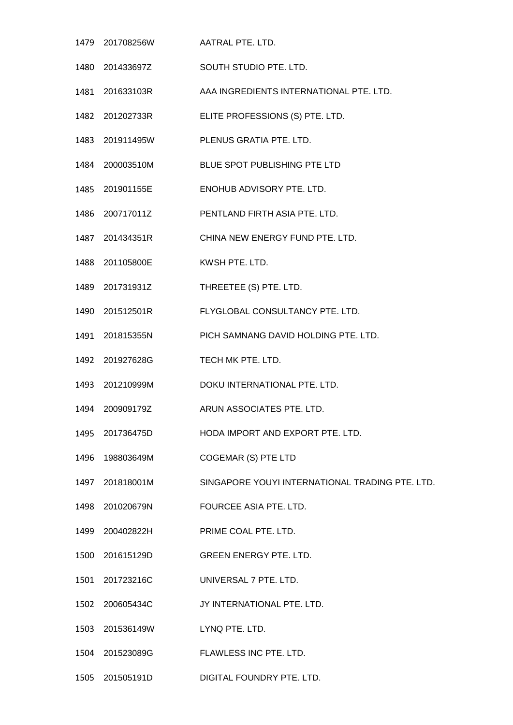201708256W AATRAL PTE. LTD. 201433697Z SOUTH STUDIO PTE. LTD. 201633103R AAA INGREDIENTS INTERNATIONAL PTE. LTD. 201202733R ELITE PROFESSIONS (S) PTE. LTD. 201911495W PLENUS GRATIA PTE. LTD. 200003510M BLUE SPOT PUBLISHING PTE LTD 201901155E ENOHUB ADVISORY PTE. LTD. 200717011Z PENTLAND FIRTH ASIA PTE. LTD. 201434351R CHINA NEW ENERGY FUND PTE. LTD. 201105800E KWSH PTE. LTD. 201731931Z THREETEE (S) PTE. LTD. 201512501R FLYGLOBAL CONSULTANCY PTE. LTD. 201815355N PICH SAMNANG DAVID HOLDING PTE. LTD. 201927628G TECH MK PTE. LTD. 201210999M DOKU INTERNATIONAL PTE. LTD. 200909179Z ARUN ASSOCIATES PTE. LTD. 201736475D HODA IMPORT AND EXPORT PTE. LTD. 198803649M COGEMAR (S) PTE LTD 201818001M SINGAPORE YOUYI INTERNATIONAL TRADING PTE. LTD. 201020679N FOURCEE ASIA PTE. LTD. 200402822H PRIME COAL PTE. LTD. 201615129D GREEN ENERGY PTE. LTD. 201723216C UNIVERSAL 7 PTE. LTD. 200605434C JY INTERNATIONAL PTE. LTD. 201536149W LYNQ PTE. LTD. 201523089G FLAWLESS INC PTE. LTD. 201505191D DIGITAL FOUNDRY PTE. LTD.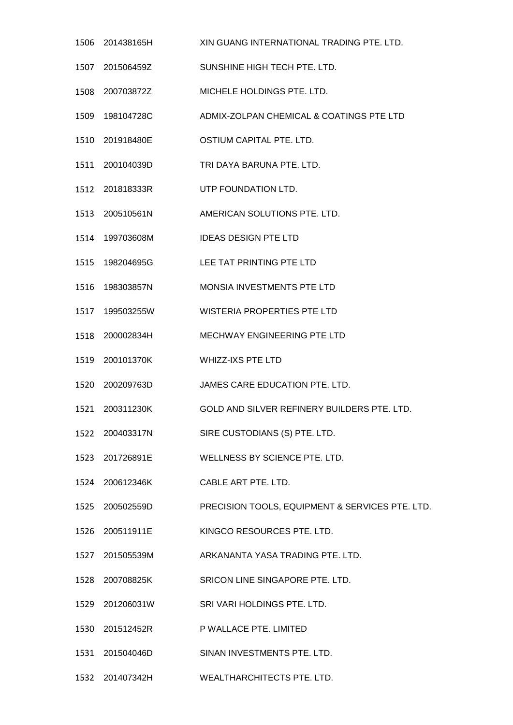201438165H XIN GUANG INTERNATIONAL TRADING PTE. LTD. 201506459Z SUNSHINE HIGH TECH PTE. LTD. 200703872Z MICHELE HOLDINGS PTE. LTD. 198104728C ADMIX-ZOLPAN CHEMICAL & COATINGS PTE LTD 201918480E OSTIUM CAPITAL PTE. LTD. 200104039D TRI DAYA BARUNA PTE. LTD. 201818333R UTP FOUNDATION LTD. 200510561N AMERICAN SOLUTIONS PTE. LTD. 199703608M IDEAS DESIGN PTE LTD 198204695G LEE TAT PRINTING PTE LTD 198303857N MONSIA INVESTMENTS PTE LTD 199503255W WISTERIA PROPERTIES PTE LTD 200002834H MECHWAY ENGINEERING PTE LTD 200101370K WHIZZ-IXS PTE LTD 200209763D JAMES CARE EDUCATION PTE. LTD. 200311230K GOLD AND SILVER REFINERY BUILDERS PTE. LTD. 200403317N SIRE CUSTODIANS (S) PTE. LTD. 201726891E WELLNESS BY SCIENCE PTE. LTD. 200612346K CABLE ART PTE. LTD. 200502559D PRECISION TOOLS, EQUIPMENT & SERVICES PTE. LTD. 200511911E KINGCO RESOURCES PTE. LTD. 201505539M ARKANANTA YASA TRADING PTE. LTD. 200708825K SRICON LINE SINGAPORE PTE. LTD. 201206031W SRI VARI HOLDINGS PTE. LTD. 201512452R P WALLACE PTE. LIMITED 201504046D SINAN INVESTMENTS PTE. LTD. 201407342H WEALTHARCHITECTS PTE. LTD.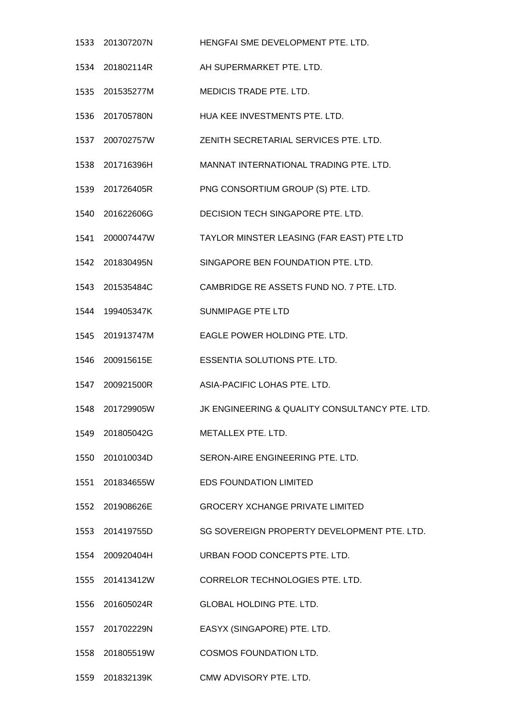201307207N HENGFAI SME DEVELOPMENT PTE. LTD. 201802114R AH SUPERMARKET PTE. LTD. 201535277M MEDICIS TRADE PTE. LTD. 201705780N HUA KEE INVESTMENTS PTE. LTD. 200702757W ZENITH SECRETARIAL SERVICES PTE. LTD. 201716396H MANNAT INTERNATIONAL TRADING PTE. LTD. 201726405R PNG CONSORTIUM GROUP (S) PTE. LTD. 201622606G DECISION TECH SINGAPORE PTE. LTD. 200007447W TAYLOR MINSTER LEASING (FAR EAST) PTE LTD 201830495N SINGAPORE BEN FOUNDATION PTE. LTD. 201535484C CAMBRIDGE RE ASSETS FUND NO. 7 PTE. LTD. 199405347K SUNMIPAGE PTE LTD 201913747M EAGLE POWER HOLDING PTE. LTD. 200915615E ESSENTIA SOLUTIONS PTE. LTD. 200921500R ASIA-PACIFIC LOHAS PTE. LTD. 201729905W JK ENGINEERING & QUALITY CONSULTANCY PTE. LTD. 201805042G METALLEX PTE. LTD. 201010034D SERON-AIRE ENGINEERING PTE. LTD. 201834655W EDS FOUNDATION LIMITED 201908626E GROCERY XCHANGE PRIVATE LIMITED 201419755D SG SOVEREIGN PROPERTY DEVELOPMENT PTE. LTD. 200920404H URBAN FOOD CONCEPTS PTE. LTD. 201413412W CORRELOR TECHNOLOGIES PTE. LTD. 201605024R GLOBAL HOLDING PTE. LTD. 201702229N EASYX (SINGAPORE) PTE. LTD. 201805519W COSMOS FOUNDATION LTD.

201832139K CMW ADVISORY PTE. LTD.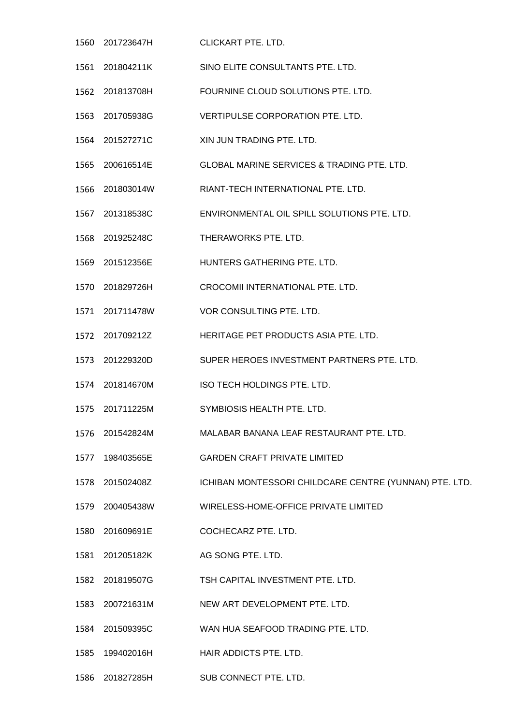201723647H CLICKART PTE. LTD. 201804211K SINO ELITE CONSULTANTS PTE. LTD. 201813708H FOURNINE CLOUD SOLUTIONS PTE. LTD. 201705938G VERTIPULSE CORPORATION PTE. LTD. 201527271C XIN JUN TRADING PTE. LTD. 200616514E GLOBAL MARINE SERVICES & TRADING PTE. LTD. 201803014W RIANT-TECH INTERNATIONAL PTE. LTD. 201318538C ENVIRONMENTAL OIL SPILL SOLUTIONS PTE. LTD. 201925248C THERAWORKS PTE. LTD. 201512356E HUNTERS GATHERING PTE. LTD. 201829726H CROCOMII INTERNATIONAL PTE. LTD. 201711478W VOR CONSULTING PTE. LTD. 201709212Z HERITAGE PET PRODUCTS ASIA PTE. LTD. 201229320D SUPER HEROES INVESTMENT PARTNERS PTE. LTD. 201814670M ISO TECH HOLDINGS PTE. LTD. 201711225M SYMBIOSIS HEALTH PTE. LTD. 201542824M MALABAR BANANA LEAF RESTAURANT PTE. LTD. 198403565E GARDEN CRAFT PRIVATE LIMITED 201502408Z ICHIBAN MONTESSORI CHILDCARE CENTRE (YUNNAN) PTE. LTD. 200405438W WIRELESS-HOME-OFFICE PRIVATE LIMITED 201609691E COCHECARZ PTE. LTD. 201205182K AG SONG PTE. LTD. 201819507G TSH CAPITAL INVESTMENT PTE. LTD. 200721631M NEW ART DEVELOPMENT PTE. LTD. 201509395C WAN HUA SEAFOOD TRADING PTE. LTD. 199402016H HAIR ADDICTS PTE. LTD. 201827285H SUB CONNECT PTE. LTD.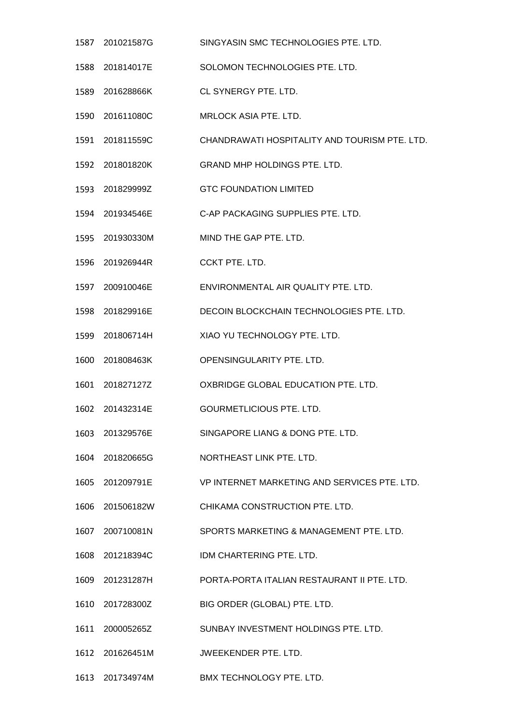- 201021587G SINGYASIN SMC TECHNOLOGIES PTE. LTD.
- 201814017E SOLOMON TECHNOLOGIES PTE. LTD.
- 201628866K CL SYNERGY PTE. LTD.
- 201611080C MRLOCK ASIA PTE. LTD.
- 201811559C CHANDRAWATI HOSPITALITY AND TOURISM PTE. LTD.
- 201801820K GRAND MHP HOLDINGS PTE. LTD.
- 201829999Z GTC FOUNDATION LIMITED
- 201934546E C-AP PACKAGING SUPPLIES PTE. LTD.
- 201930330M MIND THE GAP PTE. LTD.
- 201926944R CCKT PTE. LTD.
- 200910046E ENVIRONMENTAL AIR QUALITY PTE. LTD.
- 201829916E DECOIN BLOCKCHAIN TECHNOLOGIES PTE. LTD.
- 201806714H XIAO YU TECHNOLOGY PTE. LTD.
- 201808463K OPENSINGULARITY PTE. LTD.
- 201827127Z OXBRIDGE GLOBAL EDUCATION PTE. LTD.
- 201432314E GOURMETLICIOUS PTE. LTD.
- 201329576E SINGAPORE LIANG & DONG PTE. LTD.
- 201820665G NORTHEAST LINK PTE. LTD.
- 201209791E VP INTERNET MARKETING AND SERVICES PTE. LTD.
- 201506182W CHIKAMA CONSTRUCTION PTE. LTD.
- 200710081N SPORTS MARKETING & MANAGEMENT PTE. LTD.
- 201218394C IDM CHARTERING PTE. LTD.
- 201231287H PORTA-PORTA ITALIAN RESTAURANT II PTE. LTD.
- 201728300Z BIG ORDER (GLOBAL) PTE. LTD.
- 200005265Z SUNBAY INVESTMENT HOLDINGS PTE. LTD.
- 201626451M JWEEKENDER PTE. LTD.
- 201734974M BMX TECHNOLOGY PTE. LTD.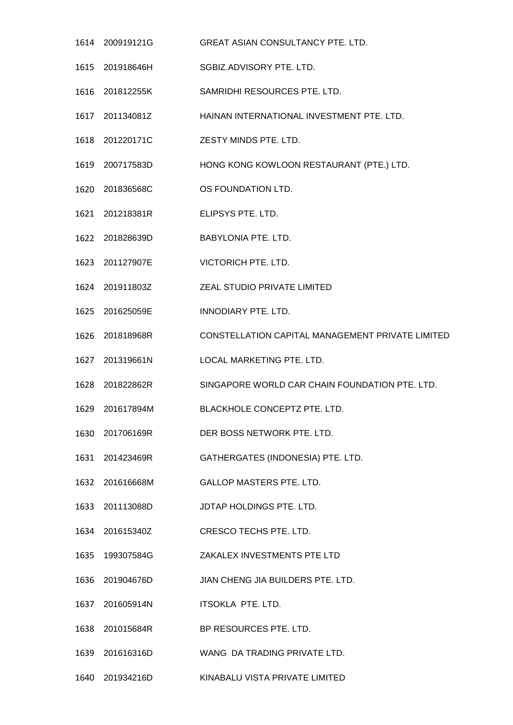- 200919121G GREAT ASIAN CONSULTANCY PTE. LTD.
- 201918646H SGBIZ.ADVISORY PTE. LTD.
- 201812255K SAMRIDHI RESOURCES PTE. LTD.
- 201134081Z HAINAN INTERNATIONAL INVESTMENT PTE. LTD.
- 201220171C ZESTY MINDS PTE. LTD.
- 200717583D HONG KONG KOWLOON RESTAURANT (PTE.) LTD.
- 201836568C OS FOUNDATION LTD.
- 201218381R ELIPSYS PTE. LTD.
- 201828639D BABYLONIA PTE. LTD.
- 201127907E VICTORICH PTE. LTD.
- 201911803Z ZEAL STUDIO PRIVATE LIMITED
- 201625059E INNODIARY PTE. LTD.
- 201818968R CONSTELLATION CAPITAL MANAGEMENT PRIVATE LIMITED
- 201319661N LOCAL MARKETING PTE. LTD.
- 201822862R SINGAPORE WORLD CAR CHAIN FOUNDATION PTE. LTD.
- 201617894M BLACKHOLE CONCEPTZ PTE. LTD.
- 201706169R DER BOSS NETWORK PTE. LTD.
- 201423469R GATHERGATES (INDONESIA) PTE. LTD.
- 201616668M GALLOP MASTERS PTE. LTD.
- 201113088D JDTAP HOLDINGS PTE. LTD.
- 201615340Z CRESCO TECHS PTE. LTD.
- 199307584G ZAKALEX INVESTMENTS PTE LTD
- 201904676D JIAN CHENG JIA BUILDERS PTE. LTD.
- 201605914N ITSOKLA PTE. LTD.
- 201015684R BP RESOURCES PTE. LTD.
- 201616316D WANG DA TRADING PRIVATE LTD.
- 201934216D KINABALU VISTA PRIVATE LIMITED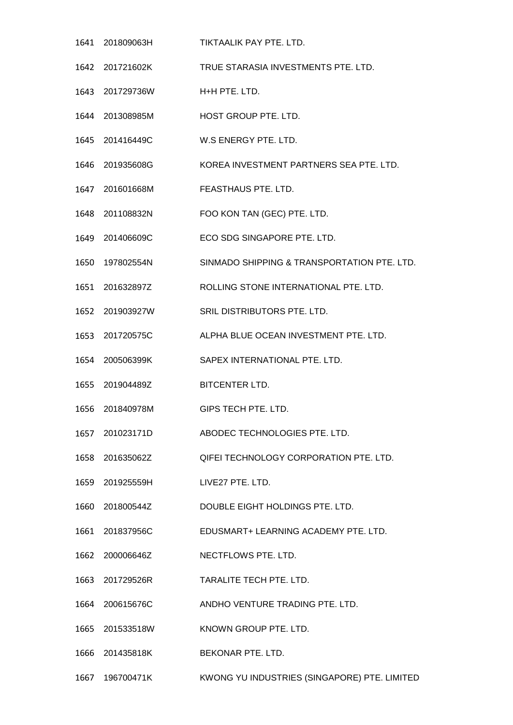- 201809063H TIKTAALIK PAY PTE. LTD. 201721602K TRUE STARASIA INVESTMENTS PTE. LTD. 201729736W H+H PTE. LTD. 201308985M HOST GROUP PTE. LTD. 201416449C W.S ENERGY PTE. LTD. 201935608G KOREA INVESTMENT PARTNERS SEA PTE. LTD. 201601668M FEASTHAUS PTE. LTD. 201108832N FOO KON TAN (GEC) PTE. LTD. 201406609C ECO SDG SINGAPORE PTE. LTD. 197802554N SINMADO SHIPPING & TRANSPORTATION PTE. LTD. 201632897Z ROLLING STONE INTERNATIONAL PTE. LTD. 201903927W SRIL DISTRIBUTORS PTE. LTD. 201720575C ALPHA BLUE OCEAN INVESTMENT PTE. LTD. 200506399K SAPEX INTERNATIONAL PTE. LTD. 201904489Z BITCENTER LTD. 201840978M GIPS TECH PTE. LTD. 201023171D ABODEC TECHNOLOGIES PTE. LTD. 201635062Z QIFEI TECHNOLOGY CORPORATION PTE. LTD. 201925559H LIVE27 PTE. LTD. 201800544Z DOUBLE EIGHT HOLDINGS PTE. LTD. 201837956C EDUSMART+ LEARNING ACADEMY PTE. LTD. 200006646Z NECTFLOWS PTE. LTD. 201729526R TARALITE TECH PTE. LTD. 200615676C ANDHO VENTURE TRADING PTE. LTD. 201533518W KNOWN GROUP PTE. LTD. 201435818K BEKONAR PTE. LTD.
- 196700471K KWONG YU INDUSTRIES (SINGAPORE) PTE. LIMITED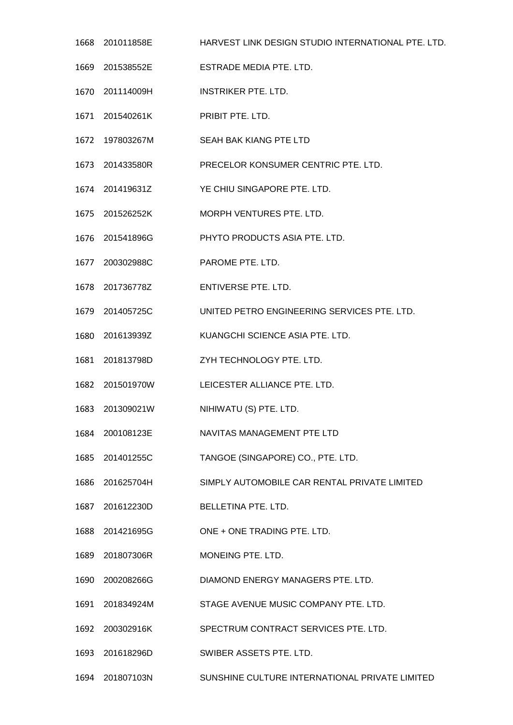- 201011858E HARVEST LINK DESIGN STUDIO INTERNATIONAL PTE. LTD.
- 201538552E ESTRADE MEDIA PTE. LTD.
- 201114009H INSTRIKER PTE. LTD.
- 201540261K PRIBIT PTE. LTD.
- 197803267M SEAH BAK KIANG PTE LTD
- 201433580R PRECELOR KONSUMER CENTRIC PTE. LTD.
- 201419631Z YE CHIU SINGAPORE PTE. LTD.
- 201526252K MORPH VENTURES PTE. LTD.
- 201541896G PHYTO PRODUCTS ASIA PTE. LTD.
- 200302988C PAROME PTE. LTD.
- 201736778Z ENTIVERSE PTE. LTD.
- 201405725C UNITED PETRO ENGINEERING SERVICES PTE. LTD.
- 201613939Z KUANGCHI SCIENCE ASIA PTE. LTD.
- 201813798D ZYH TECHNOLOGY PTE. LTD.
- 201501970W LEICESTER ALLIANCE PTE. LTD.
- 201309021W NIHIWATU (S) PTE. LTD.
- 200108123E NAVITAS MANAGEMENT PTE LTD
- 201401255C TANGOE (SINGAPORE) CO., PTE. LTD.
- 201625704H SIMPLY AUTOMOBILE CAR RENTAL PRIVATE LIMITED
- 201612230D BELLETINA PTE. LTD.
- 201421695G ONE + ONE TRADING PTE. LTD.
- 201807306R MONEING PTE. LTD.
- 200208266G DIAMOND ENERGY MANAGERS PTE. LTD.
- 201834924M STAGE AVENUE MUSIC COMPANY PTE. LTD.
- 200302916K SPECTRUM CONTRACT SERVICES PTE. LTD.
- 201618296D SWIBER ASSETS PTE. LTD.
- 201807103N SUNSHINE CULTURE INTERNATIONAL PRIVATE LIMITED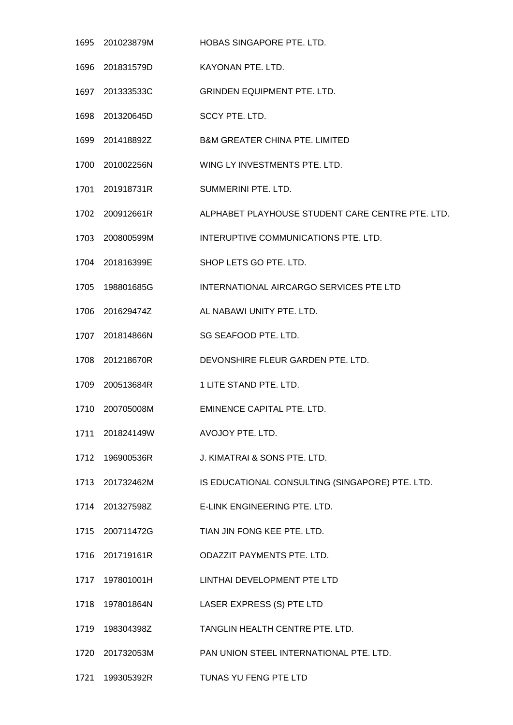- 201023879M HOBAS SINGAPORE PTE. LTD. 201831579D KAYONAN PTE. LTD. 201333533C GRINDEN EQUIPMENT PTE. LTD. 201320645D SCCY PTE. LTD. 201418892Z B&M GREATER CHINA PTE. LIMITED 201002256N WING LY INVESTMENTS PTE. LTD. 201918731R SUMMERINI PTE. LTD. 200912661R ALPHABET PLAYHOUSE STUDENT CARE CENTRE PTE. LTD. 200800599M INTERUPTIVE COMMUNICATIONS PTE. LTD. 201816399E SHOP LETS GO PTE. LTD. 198801685G INTERNATIONAL AIRCARGO SERVICES PTE LTD 201629474Z AL NABAWI UNITY PTE. LTD. 201814866N SG SEAFOOD PTE. LTD. 201218670R DEVONSHIRE FLEUR GARDEN PTE. LTD. 200513684R 1 LITE STAND PTE. LTD. 200705008M EMINENCE CAPITAL PTE. LTD. 201824149W AVOJOY PTE. LTD. 196900536R J. KIMATRAI & SONS PTE. LTD. 201732462M IS EDUCATIONAL CONSULTING (SINGAPORE) PTE. LTD. 201327598Z E-LINK ENGINEERING PTE. LTD. 200711472G TIAN JIN FONG KEE PTE. LTD. 201719161R ODAZZIT PAYMENTS PTE. LTD. 197801001H LINTHAI DEVELOPMENT PTE LTD 197801864N LASER EXPRESS (S) PTE LTD 198304398Z TANGLIN HEALTH CENTRE PTE. LTD. 201732053M PAN UNION STEEL INTERNATIONAL PTE. LTD.
- 199305392R TUNAS YU FENG PTE LTD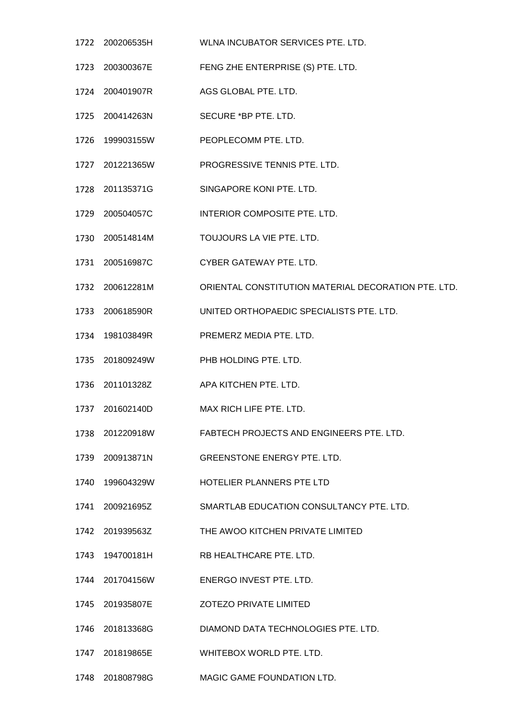- 200206535H WLNA INCUBATOR SERVICES PTE. LTD. 200300367E FENG ZHE ENTERPRISE (S) PTE. LTD. 200401907R AGS GLOBAL PTE. LTD. 200414263N SECURE \*BP PTE. LTD. 199903155W PEOPLECOMM PTE. LTD. 201221365W PROGRESSIVE TENNIS PTE. LTD. 201135371G SINGAPORE KONI PTE. LTD. 200504057C INTERIOR COMPOSITE PTE. LTD. 200514814M TOUJOURS LA VIE PTE. LTD. 200516987C CYBER GATEWAY PTE. LTD. 200612281M ORIENTAL CONSTITUTION MATERIAL DECORATION PTE. LTD. 200618590R UNITED ORTHOPAEDIC SPECIALISTS PTE. LTD. 198103849R PREMERZ MEDIA PTE. LTD. 201809249W PHB HOLDING PTE. LTD. 201101328Z APA KITCHEN PTE. LTD. 201602140D MAX RICH LIFE PTE. LTD. 201220918W FABTECH PROJECTS AND ENGINEERS PTE. LTD. 200913871N GREENSTONE ENERGY PTE. LTD. 199604329W HOTELIER PLANNERS PTE LTD 200921695Z SMARTLAB EDUCATION CONSULTANCY PTE. LTD. 201939563Z THE AWOO KITCHEN PRIVATE LIMITED 194700181H RB HEALTHCARE PTE. LTD. 201704156W ENERGO INVEST PTE. LTD. 201935807E ZOTEZO PRIVATE LIMITED 201813368G DIAMOND DATA TECHNOLOGIES PTE. LTD. 201819865E WHITEBOX WORLD PTE. LTD.
	- 201808798G MAGIC GAME FOUNDATION LTD.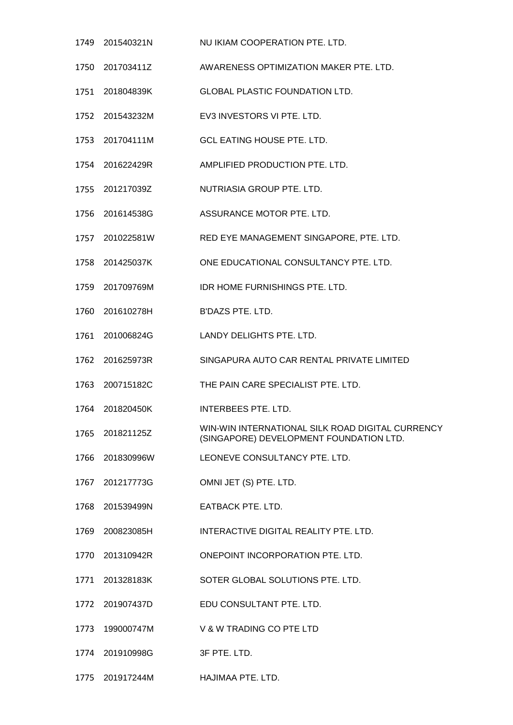- 201540321N NU IKIAM COOPERATION PTE. LTD. 201703411Z AWARENESS OPTIMIZATION MAKER PTE. LTD. 201804839K GLOBAL PLASTIC FOUNDATION LTD. 201543232M EV3 INVESTORS VI PTE. LTD. 201704111M GCL EATING HOUSE PTE. LTD. 201622429R AMPLIFIED PRODUCTION PTE. LTD. 201217039Z NUTRIASIA GROUP PTE. LTD. 201614538G ASSURANCE MOTOR PTE. LTD. 201022581W RED EYE MANAGEMENT SINGAPORE, PTE. LTD. 201425037K ONE EDUCATIONAL CONSULTANCY PTE. LTD. 201709769M IDR HOME FURNISHINGS PTE. LTD. 201610278H B'DAZS PTE. LTD. 201006824G LANDY DELIGHTS PTE. LTD. 201625973R SINGAPURA AUTO CAR RENTAL PRIVATE LIMITED 200715182C THE PAIN CARE SPECIALIST PTE. LTD. 201820450K INTERBEES PTE. LTD. 201821125Z WIN-WIN INTERNATIONAL SILK ROAD DIGITAL CURRENCY (SINGAPORE) DEVELOPMENT FOUNDATION LTD. 201830996W LEONEVE CONSULTANCY PTE. LTD. 201217773G OMNI JET (S) PTE. LTD. 201539499N EATBACK PTE. LTD. 200823085H INTERACTIVE DIGITAL REALITY PTE. LTD. 201310942R ONEPOINT INCORPORATION PTE. LTD. 201328183K SOTER GLOBAL SOLUTIONS PTE. LTD. 201907437D EDU CONSULTANT PTE. LTD. 199000747M V & W TRADING CO PTE LTD 201910998G 3F PTE. LTD.
- 201917244M HAJIMAA PTE. LTD.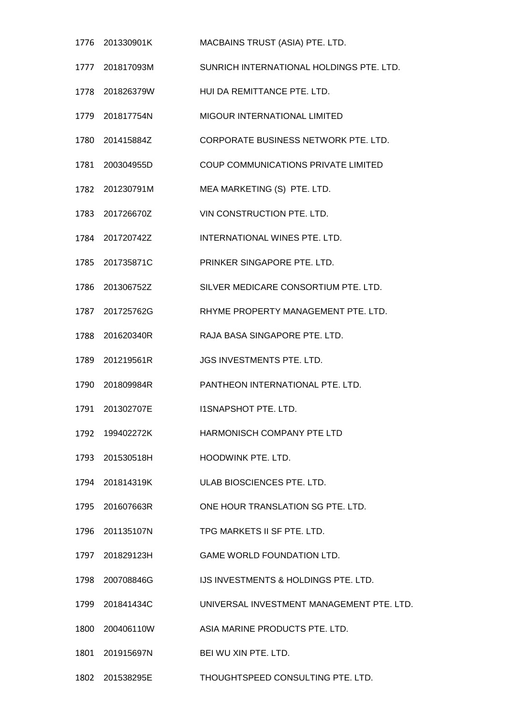| 1776 | 201330901K      | MACBAINS TRUST (ASIA) PTE. LTD.           |
|------|-----------------|-------------------------------------------|
|      | 1777 201817093M | SUNRICH INTERNATIONAL HOLDINGS PTE. LTD.  |
|      | 1778 201826379W | HUI DA REMITTANCE PTE. LTD.               |
|      | 1779 201817754N | MIGOUR INTERNATIONAL LIMITED              |
| 1780 | 201415884Z      | CORPORATE BUSINESS NETWORK PTE. LTD.      |
|      | 1781 200304955D | COUP COMMUNICATIONS PRIVATE LIMITED       |
|      | 1782 201230791M | MEA MARKETING (S) PTE. LTD.               |
| 1783 | 201726670Z      | VIN CONSTRUCTION PTE. LTD.                |
|      | 1784 201720742Z | INTERNATIONAL WINES PTE. LTD.             |
|      | 1785 201735871C | PRINKER SINGAPORE PTE, LTD.               |
| 1786 | 201306752Z      | SILVER MEDICARE CONSORTIUM PTE. LTD.      |
|      | 1787 201725762G | RHYME PROPERTY MANAGEMENT PTE. LTD.       |
| 1788 | 201620340R      | RAJA BASA SINGAPORE PTE. LTD.             |
|      | 1789 201219561R | JGS INVESTMENTS PTE. LTD.                 |
|      | 1790 201809984R | PANTHEON INTERNATIONAL PTE, LTD.          |
| 1791 | 201302707E      | <b>I1SNAPSHOT PTE. LTD.</b>               |
|      |                 | <b>HARMONISCH COMPANY PTE LTD</b>         |
|      | 1793 201530518H | HOODWINK PTE. LTD.                        |
|      | 1794 201814319K | ULAB BIOSCIENCES PTE. LTD.                |
|      | 1795 201607663R | ONE HOUR TRANSLATION SG PTE. LTD.         |
|      | 1796 201135107N | TPG MARKETS II SF PTE. LTD.               |
|      | 1797 201829123H | GAME WORLD FOUNDATION LTD.                |
|      | 1798 200708846G | IJS INVESTMENTS & HOLDINGS PTE. LTD.      |
|      | 1799 201841434C | UNIVERSAL INVESTMENT MANAGEMENT PTE. LTD. |
|      | 1800 200406110W | ASIA MARINE PRODUCTS PTE. LTD.            |
|      | 1801 201915697N | BEI WU XIN PTE, LTD.                      |
|      | 1802 201538295E | THOUGHTSPEED CONSULTING PTE. LTD.         |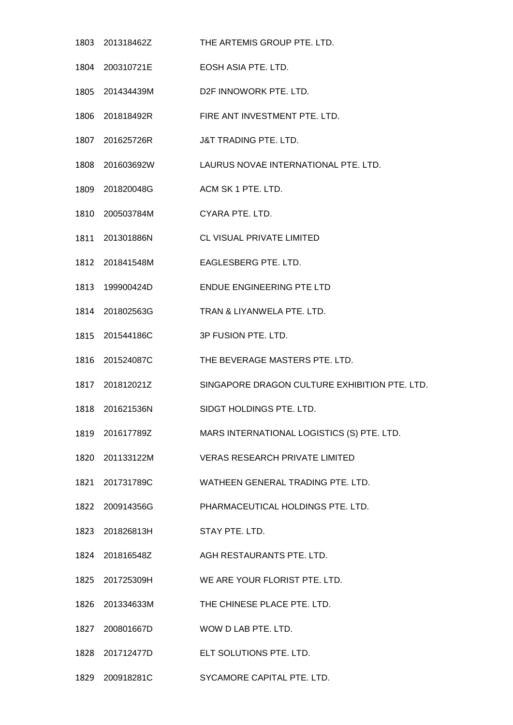201318462Z THE ARTEMIS GROUP PTE. LTD. 200310721E EOSH ASIA PTE. LTD. 201434439M D2F INNOWORK PTE. LTD. 201818492R FIRE ANT INVESTMENT PTE. LTD. 201625726R J&T TRADING PTE. LTD. 201603692W LAURUS NOVAE INTERNATIONAL PTE. LTD. 1809 201820048G ACM SK 1 PTE. LTD. 200503784M CYARA PTE. LTD. 201301886N CL VISUAL PRIVATE LIMITED 201841548M EAGLESBERG PTE. LTD. 199900424D ENDUE ENGINEERING PTE LTD 201802563G TRAN & LIYANWELA PTE. LTD. 201544186C 3P FUSION PTE. LTD. 201524087C THE BEVERAGE MASTERS PTE. LTD. 201812021Z SINGAPORE DRAGON CULTURE EXHIBITION PTE. LTD. 201621536N SIDGT HOLDINGS PTE. LTD. 201617789Z MARS INTERNATIONAL LOGISTICS (S) PTE. LTD. 201133122M VERAS RESEARCH PRIVATE LIMITED 201731789C WATHEEN GENERAL TRADING PTE. LTD. 200914356G PHARMACEUTICAL HOLDINGS PTE. LTD. 201826813H STAY PTE. LTD. 201816548Z AGH RESTAURANTS PTE. LTD. 201725309H WE ARE YOUR FLORIST PTE. LTD. 201334633M THE CHINESE PLACE PTE. LTD. 200801667D WOW D LAB PTE. LTD. 201712477D ELT SOLUTIONS PTE. LTD. 200918281C SYCAMORE CAPITAL PTE. LTD.